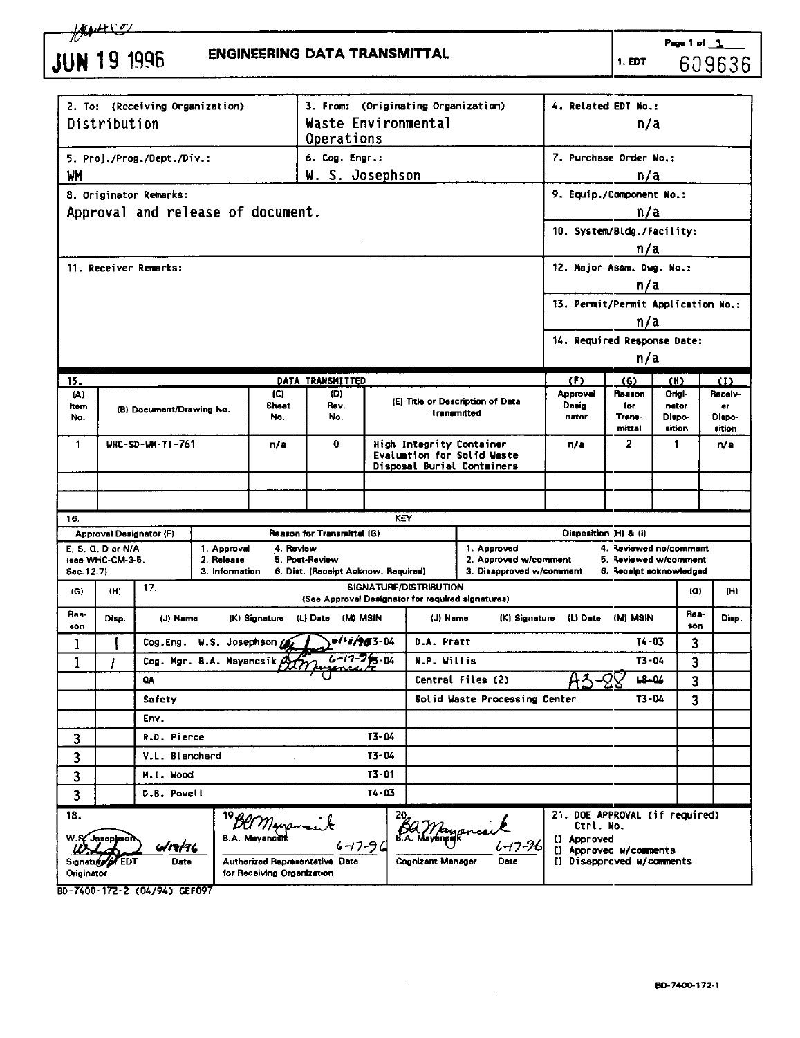HANNER

**I**

# **ENGINEERING DATA TRANSMITTAL**

**Page 1 of 1** 1EDT 609636

|                                                                                      | שיש כו מטע                                        |                                                       |                              |                                                              |                                                                                                  |                                                                                                                      |                               |                                                   |                                                                                      |                        |                 | 009030                   |
|--------------------------------------------------------------------------------------|---------------------------------------------------|-------------------------------------------------------|------------------------------|--------------------------------------------------------------|--------------------------------------------------------------------------------------------------|----------------------------------------------------------------------------------------------------------------------|-------------------------------|---------------------------------------------------|--------------------------------------------------------------------------------------|------------------------|-----------------|--------------------------|
| 2. To: (Receiving Organization)<br>Waste Environmental<br>Distribution<br>Operations |                                                   |                                                       |                              |                                                              | 3. From: (Originating Organization)<br>4. Related EDT No.:<br>n/a                                |                                                                                                                      |                               |                                                   |                                                                                      |                        |                 |                          |
| 6. Cog. Engr.:<br>5. Proj./Prog./Dept./Div.:                                         |                                                   |                                                       |                              |                                                              | 7. Purchase Order No.:                                                                           |                                                                                                                      |                               |                                                   |                                                                                      |                        |                 |                          |
| W. S. Josephson<br>WM                                                                |                                                   |                                                       |                              |                                                              | n/a                                                                                              |                                                                                                                      |                               |                                                   |                                                                                      |                        |                 |                          |
|                                                                                      |                                                   | 8. Originator Remarks:                                |                              |                                                              |                                                                                                  |                                                                                                                      |                               |                                                   | 9. Equip./Component No.:                                                             |                        |                 |                          |
|                                                                                      |                                                   | Approval and release of document.                     |                              |                                                              |                                                                                                  |                                                                                                                      |                               |                                                   |                                                                                      | n/a                    |                 |                          |
|                                                                                      |                                                   |                                                       |                              |                                                              |                                                                                                  |                                                                                                                      |                               |                                                   | 10. System/Bldg./Facility:                                                           |                        |                 |                          |
|                                                                                      |                                                   |                                                       |                              |                                                              |                                                                                                  |                                                                                                                      |                               |                                                   |                                                                                      | n/a                    |                 |                          |
|                                                                                      |                                                   | 11. Receiver Remarks:                                 |                              |                                                              |                                                                                                  |                                                                                                                      |                               |                                                   | 12. Major Assm. Dwg. No.:                                                            |                        |                 |                          |
|                                                                                      |                                                   |                                                       |                              |                                                              |                                                                                                  |                                                                                                                      |                               |                                                   |                                                                                      | n/a                    |                 |                          |
|                                                                                      |                                                   |                                                       |                              |                                                              |                                                                                                  |                                                                                                                      |                               |                                                   | 13. Permit/Permit Application No.:                                                   |                        |                 |                          |
|                                                                                      |                                                   |                                                       |                              |                                                              |                                                                                                  |                                                                                                                      |                               |                                                   |                                                                                      | n/a                    |                 |                          |
|                                                                                      |                                                   |                                                       |                              |                                                              |                                                                                                  |                                                                                                                      |                               |                                                   | 14. Required Response Date:                                                          |                        |                 |                          |
|                                                                                      |                                                   |                                                       |                              |                                                              |                                                                                                  |                                                                                                                      |                               |                                                   |                                                                                      | n/a                    |                 |                          |
| 15.                                                                                  |                                                   |                                                       |                              |                                                              | DATA TRANSMITTED                                                                                 |                                                                                                                      |                               |                                                   | (F)                                                                                  | (6)                    | (M)             | (1)                      |
| (A)<br>ltem                                                                          |                                                   |                                                       |                              | (C)<br><b>Sheet</b>                                          | (D)<br>Rev.                                                                                      |                                                                                                                      |                               | (E) Title or Description of Data                  | Approval<br>Desig-                                                                   | Resson<br>for          | Orioi-<br>nator | Receiv<br>$\blacksquare$ |
| No.                                                                                  |                                                   | (B) Document/Drawing No.<br>Transmitted<br>No.<br>No. |                              |                                                              |                                                                                                  |                                                                                                                      | nator                         | Trans-<br>mittal                                  | Dispo-<br>sition                                                                     | Dispo-<br>sition       |                 |                          |
| 1                                                                                    | UHC-SD-WI 11-761                                  |                                                       |                              | n/a                                                          | 0<br>High Integrity Container<br><b>Evaluation for Solid Waste</b><br>Disposal Burial Containers |                                                                                                                      |                               | n/a                                               | 2                                                                                    | 1                      | n/a             |                          |
|                                                                                      |                                                   |                                                       |                              |                                                              |                                                                                                  |                                                                                                                      |                               |                                                   |                                                                                      |                        |                 |                          |
|                                                                                      |                                                   |                                                       |                              |                                                              |                                                                                                  |                                                                                                                      |                               |                                                   |                                                                                      |                        |                 |                          |
| 16.                                                                                  |                                                   | <b>Approval Designator (F)</b>                        |                              |                                                              | Reason for Transmittal (G)                                                                       | KEY                                                                                                                  |                               |                                                   |                                                                                      | Disposition (H) & (i)  |                 |                          |
|                                                                                      | E. S. Q. D or N/A                                 |                                                       | 1. Approval                  | 4. Review                                                    |                                                                                                  |                                                                                                                      |                               | 1. Approved                                       |                                                                                      | 4. Reviewed no/comment |                 |                          |
| Sec. 12.7)                                                                           | (see WHC-CM-3-5.                                  |                                                       | 2. Release<br>3. Information |                                                              | 5. Post-Review                                                                                   |                                                                                                                      |                               | 2. Approved w/comment<br>3. Disapproved w/comment |                                                                                      | 5. Reviewed w/comment  |                 |                          |
| (G)                                                                                  | 6. Dist. (Receipt Acknow, Required)<br>17.<br>(H) |                                                       |                              |                                                              |                                                                                                  | 6. Receipt acknowledged<br>SIGNATURE/DISTRIBUTION<br>(G)<br>(H)<br>(See Approval Designator for required signatures) |                               |                                                   |                                                                                      |                        |                 |                          |
| Res-<br>son                                                                          | Disp.                                             | (J) Name<br>(K) Signature<br>(L) Date (M) MSIN        |                              |                                                              |                                                                                                  | Rea-<br>(J) Name<br>(L) Date<br>(M) MSIN<br>(K) Signature<br>son                                                     |                               |                                                   |                                                                                      | Diep.                  |                 |                          |
| 1                                                                                    |                                                   |                                                       | Cog.Eng. W.S. Josephson /    |                                                              | $\frac{1}{2}$ /2/963-04                                                                          |                                                                                                                      | D.A. Pratt<br>$T4 - 03$<br>3  |                                                   |                                                                                      |                        |                 |                          |
| ı                                                                                    | 1                                                 |                                                       | Cog. Mgr. B.A. Mayancsik     |                                                              | $6 - 17 - 7 + 5 - 04$                                                                            |                                                                                                                      | N.P. Willis<br>$T3 - 04$<br>3 |                                                   |                                                                                      |                        |                 |                          |
|                                                                                      |                                                   | ۵A                                                    |                              |                                                              |                                                                                                  |                                                                                                                      |                               | Central Files (2)                                 |                                                                                      | كتبتها                 | 3               |                          |
|                                                                                      |                                                   | Solid Waste Processing Center<br>Safety               |                              |                                                              |                                                                                                  |                                                                                                                      |                               |                                                   |                                                                                      | T3-04                  | 3               |                          |
|                                                                                      |                                                   | Env.                                                  |                              |                                                              |                                                                                                  |                                                                                                                      |                               |                                                   |                                                                                      |                        |                 |                          |
| 3                                                                                    |                                                   | R.D. Pierce                                           |                              |                                                              |                                                                                                  | $13 - 04$                                                                                                            |                               |                                                   |                                                                                      |                        |                 |                          |
| 3                                                                                    |                                                   | V.L. Blanchard<br>T3-04                               |                              |                                                              |                                                                                                  |                                                                                                                      |                               |                                                   |                                                                                      |                        |                 |                          |
| 3                                                                                    |                                                   | M.I. Wood<br>$T3 - 01$                                |                              |                                                              |                                                                                                  |                                                                                                                      |                               |                                                   |                                                                                      |                        |                 |                          |
| 3                                                                                    |                                                   | D.B. Powell                                           |                              |                                                              |                                                                                                  | $14 - 03$                                                                                                            |                               |                                                   |                                                                                      |                        |                 |                          |
| 18.                                                                                  | W.S. Josephson                                    |                                                       |                              | <sup>19</sup> BAMeyancik                                     |                                                                                                  |                                                                                                                      |                               |                                                   | 21. DOE APPROVAL (if required)<br>Ctrl. No.<br>[] Approved<br>[] Approved w/comments |                        |                 |                          |
| Originator                                                                           | Signature of EDT                                  | Date                                                  |                              | Authorized Representative Date<br>for Receiving Organization |                                                                                                  |                                                                                                                      | <b>Counizant Manager</b>      |                                                   | [] Disapproved w/comments                                                            |                        |                 |                          |

**BD-7400-172-2 (04/94) GEF097**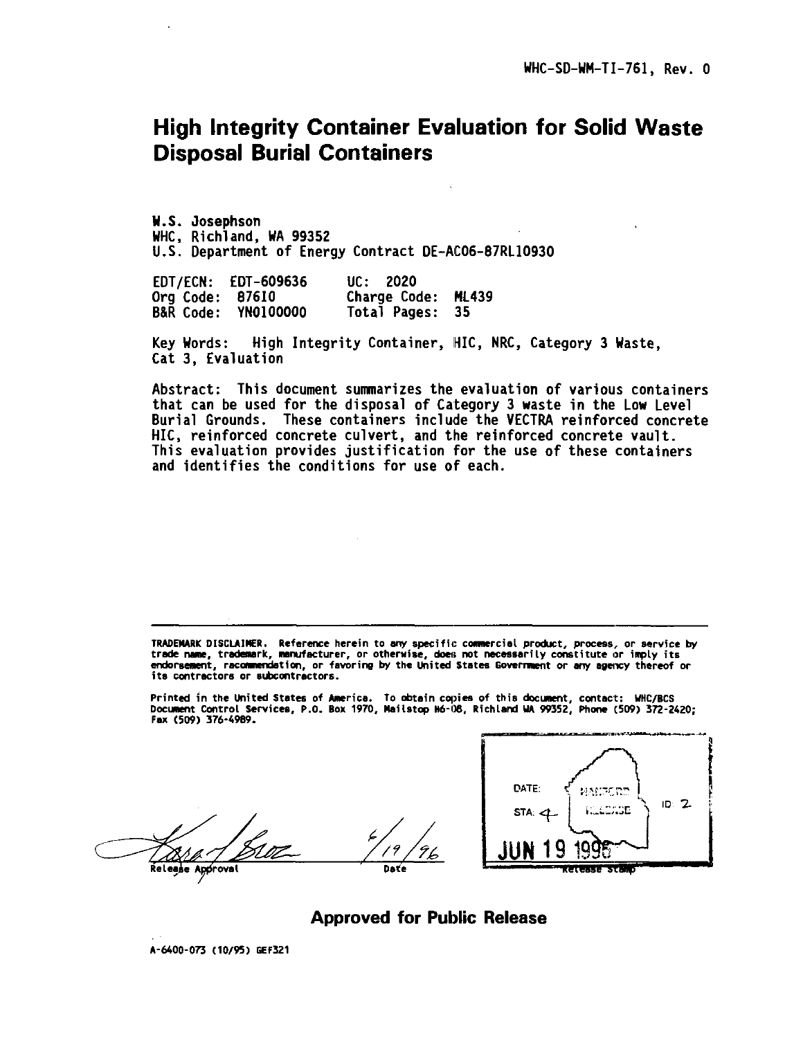# **High Integrity Container Evaluation for Solid Waste Disposal Burial Containers**

**U.S. Josephson WHC, Richland, WA 99352 U.S. Department of Energy Contract DE-AC06-87RL10930**

**EDT/ECN: EDT-609636 Org Code: 87610 B&R Code: YN0100000 UC: 2020 Charge Code: Total Pages: 35 ML439**

**Key Words: High Integrity Container, HIC, NRC, Category 3 Haste, Cat 3, Evaluation**

**Abstract: This document summarizes the evaluation of various containers that can be used for the disposal of Category 3 waste in the Low Level Burial Grounds. These containers include the VECTRA reinforced concrete HIC, reinforced concrete culvert, and the reinforced concrete vault. This evaluation provides justification for the use of these containers and identifies the conditions for use of each.**

**TRADEMARK DISCLAIMER. Reference herein to any specific comnercial product, process, or service by trade name, trademark, manufacturer, or otherwise, does not necessarily constitute or imply its endorsement, recomnendation, or favoring by the United States Government or any agency thereof or its contractors or subcontractors.**

**Printed in the United States of America. To obtain copies of this document, contact: UHC/BCS** Document Control Services, P.O. Box 1970, Mailstop H6-O8, Richland WA 99352, Phone (509) 372-2420; **Fax (509) 376-4989.**

**Release Approval**



**Approved for Public Release**

**A-6400-073 (10/95) GEF321**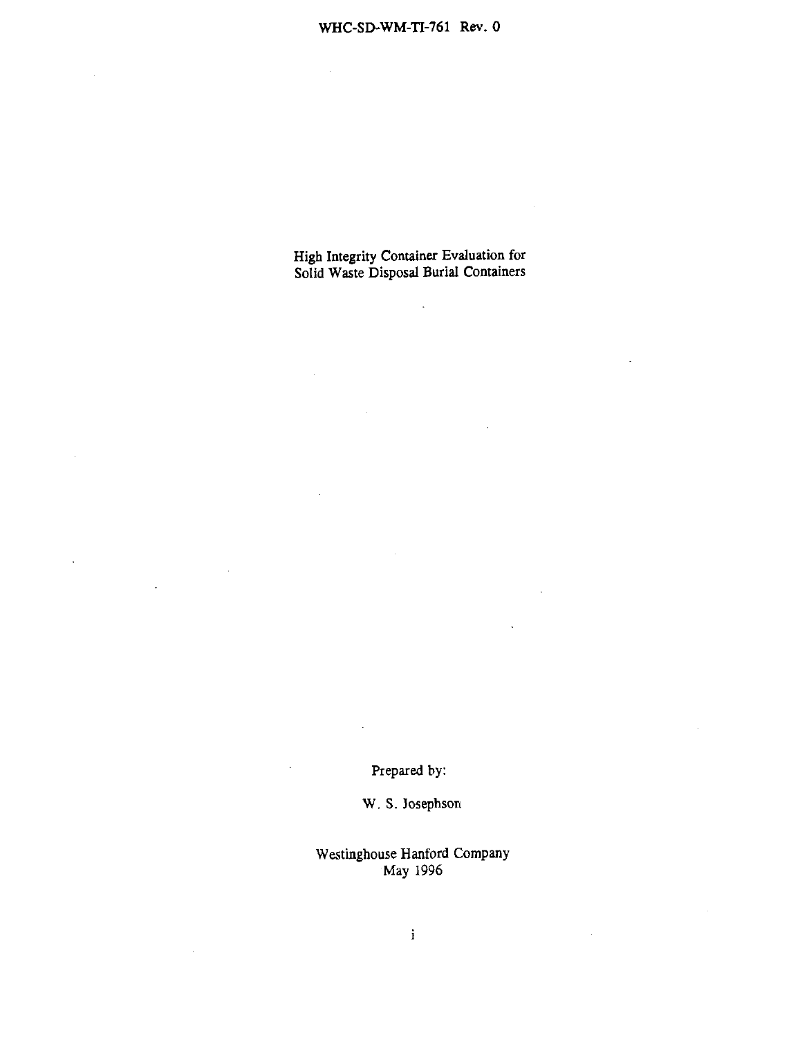High Integrity Container Evaluation for Solid Waste Disposal Burial Containers

 $\ddot{\phantom{a}}$ 

Prepared by:

 $\ddot{\phantom{a}}$ 

W. S. Josephson

Westinghouse Hanford Company May 1996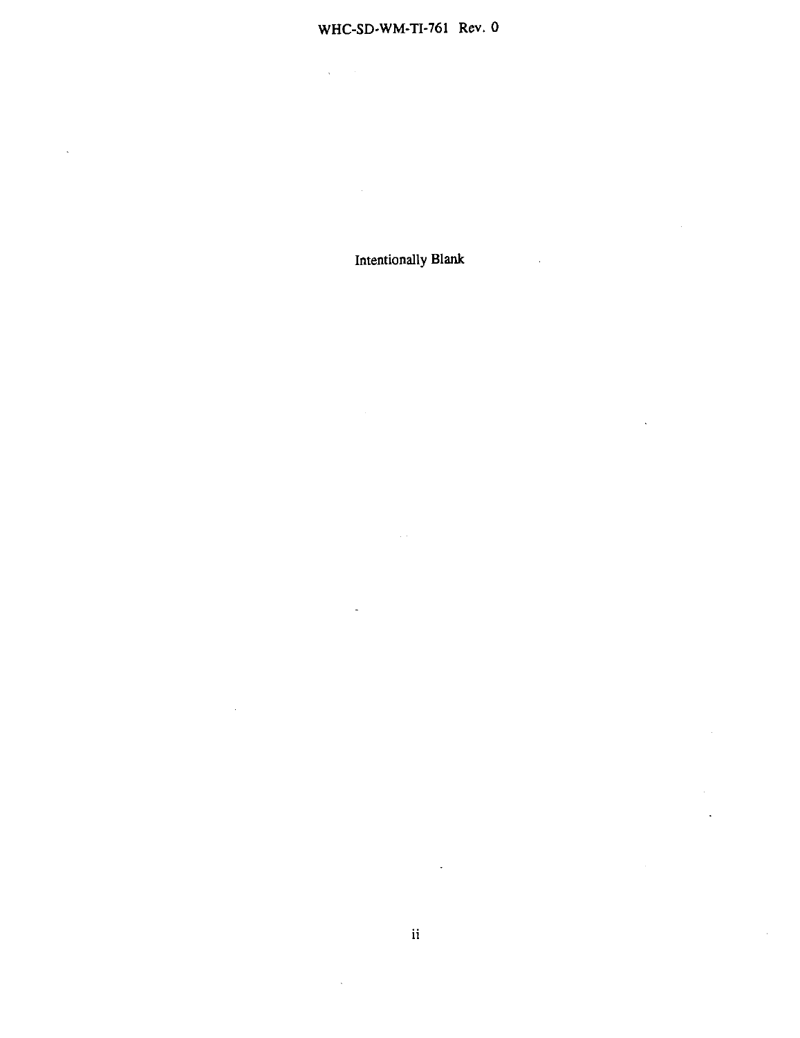$\Delta \sim 10^{-10}$ 

Intentionally Blank

 $\ddot{\phantom{a}}$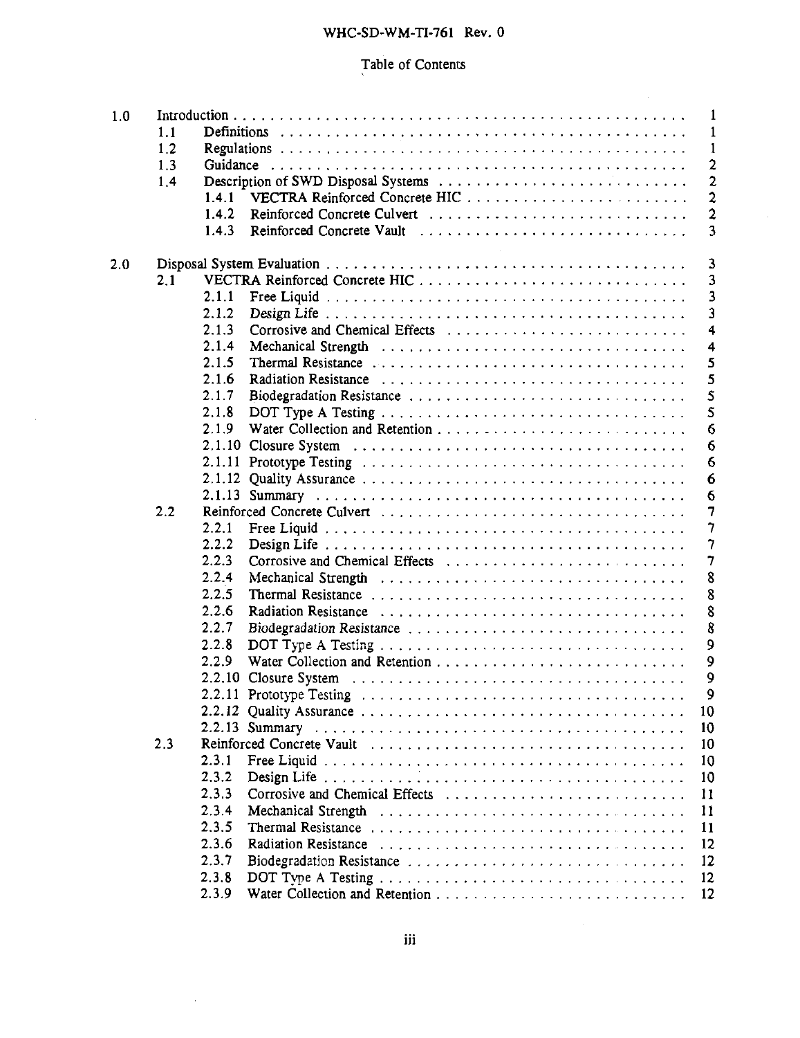# Table of Contents

| 1.0 | 1.1<br>1.2 |       | $\mathbf{1}$<br>1<br>1                                                                            |
|-----|------------|-------|---------------------------------------------------------------------------------------------------|
|     | 1.3        |       | 2                                                                                                 |
|     | 1.4        |       | $\overline{c}$                                                                                    |
|     |            | 1.4.1 | 2                                                                                                 |
|     |            | 1.4.2 | $\overline{c}$                                                                                    |
|     |            | 1.4.3 | 3                                                                                                 |
|     |            |       |                                                                                                   |
| 2.0 |            |       | 3                                                                                                 |
|     | 2.1        |       | 3                                                                                                 |
|     |            | 2.1.1 | 3                                                                                                 |
|     |            | 2.1.2 | 3                                                                                                 |
|     |            | 2.1.3 | 4                                                                                                 |
|     |            | 2.1.4 | 4                                                                                                 |
|     |            | 2.1.5 | 5                                                                                                 |
|     |            | 2.1.6 | Radiation Resistance $\ldots \ldots \ldots \ldots \ldots \ldots \ldots \ldots \ldots \ldots$<br>5 |
|     |            | 2.1.7 | 5                                                                                                 |
|     |            | 2.1.8 | 5                                                                                                 |
|     |            | 2.1.9 | 6                                                                                                 |
|     |            |       | 6                                                                                                 |
|     |            |       | 6                                                                                                 |
|     |            |       | 6                                                                                                 |
|     |            |       | 6                                                                                                 |
|     | 2.2        |       | 7                                                                                                 |
|     |            | 2.2.1 | 7                                                                                                 |
|     |            | 2.2.2 | 7                                                                                                 |
|     |            | 2.2.3 | $\overline{7}$                                                                                    |
|     |            | 2.2.4 | 8                                                                                                 |
|     |            | 2.2.5 | 8                                                                                                 |
|     |            | 2.2.6 | 8<br>Radiation Resistance $\ldots \ldots \ldots \ldots \ldots \ldots \ldots \ldots \ldots \ldots$ |
|     |            | 2.2.7 | 8                                                                                                 |
|     |            | 2.2.8 | 9                                                                                                 |
|     |            | 2.2.9 | 9                                                                                                 |
|     |            |       | 9                                                                                                 |
|     |            |       | 9                                                                                                 |
|     |            |       | 10                                                                                                |
|     |            |       | 10                                                                                                |
|     | 2.3        |       | 10                                                                                                |
|     |            | 2.3.1 | 10                                                                                                |
|     |            | 2.3.2 | 10                                                                                                |
|     |            | 2.3.3 | Corrosive and Chemical Effects<br>11                                                              |
|     |            | 2.3.4 | 11                                                                                                |
|     |            | 2,3,5 | 11                                                                                                |
|     |            | 2.3.6 | 12                                                                                                |
|     |            | 2.3.7 | 12                                                                                                |
|     |            | 2.3.8 | 12                                                                                                |
|     |            | 2.3.9 | 12                                                                                                |
|     |            |       |                                                                                                   |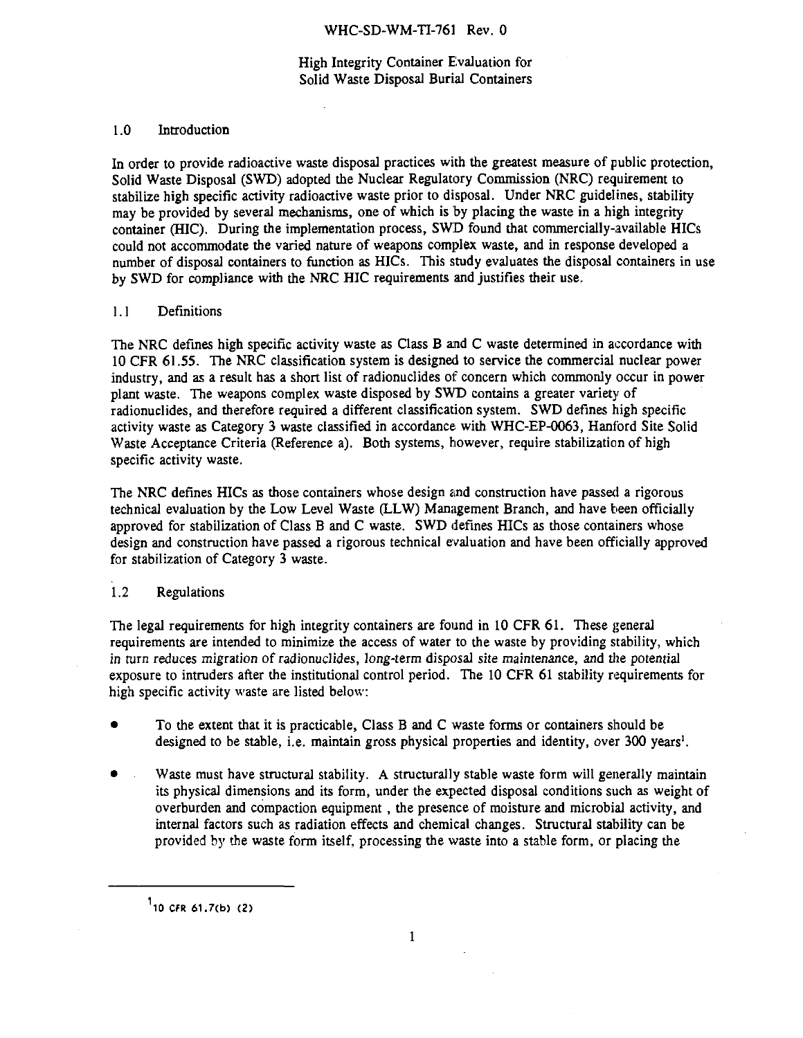High Integrity Container Evaluation for Solid Waste Disposal Burial Containers

## 1.0 Introduction

In order to provide radioactive waste disposal practices with the greatest measure of public protection, Solid Waste Disposal (SWD) adopted the Nuclear Regulatory Commission (NRC) requirement to stabilize high specific activity radioactive waste prior to disposal. Under NRC guidelines, stability may be provided by several mechanisms, one of which is by placing the waste in a high integrity container (HIC). During the implementation process, SWD found that commercially-available HICs could not accommodate the varied nature of weapons complex waste, and in response developed a number of disposal containers to function as  $HICs$ . This study evaluates the disposal containers in use by SWD for compliance with the NRC HIC requirements and justifies their use.

# 1.1 Definitions

The NRC defines high specific activity waste as Class B and C waste determined in accordance with 10 CFR 61.55. The NRC classification system is designed to service the commercial nuclear power industry, and as a result has a short list of radionuclides of concern which commonly occur in power plant waste. The weapons complex waste disposed by SWD contains a greater variety of radionuclides, and therefore required a different classification system. SWD defines high specific activity waste as Category 3 waste classified in accordance with WHC-EP-OO63, Hanford Site Solid Waste Acceptance Criteria (Reference a). Both systems, however, require stabilization of high specific activity waste.

The NRC defines HICs as those containers whose design and construction have passed a rigorous technical evaluation by the Low Level Waste (LLW) Management Branch, and have been officially approved for stabilization of Class B and C waste. SWD defines HICs as those containers whose design and construction have passed a rigorous technical evaluation and have been officially approved for stabilization of Category 3 waste.

# 1.2 Regulations

The legal requirements for high integrity containers are found in 10 CFR 61. These general requirements are intended to minimize the access of water to the waste by providing stability, which in turn reduces migration of radionuclides, long-term disposal site maintenance, and the potential exposure to intruders after the institutional control period. The 10 CFR 61 stability requirements for high specific activity waste are listed below:

- To the extent that it is practicable, Class B and C waste forms or containers should be designed to be stable, i.e. maintain gross physical properties and identity, over 300 years'.
- Waste must have structural stability. A structurally stable waste form will generally maintain its physical dimensions and its form, under the expected disposal conditions such as weight of overburden and compaction equipment, the presence of moisture and microbial activity, and internal factors such as radiation effects and chemical changes. Structural stability can be provided by the waste form itself, processing the waste into a stable form, or placing the

 $1_{10}$  CFR 61.7(b) (2)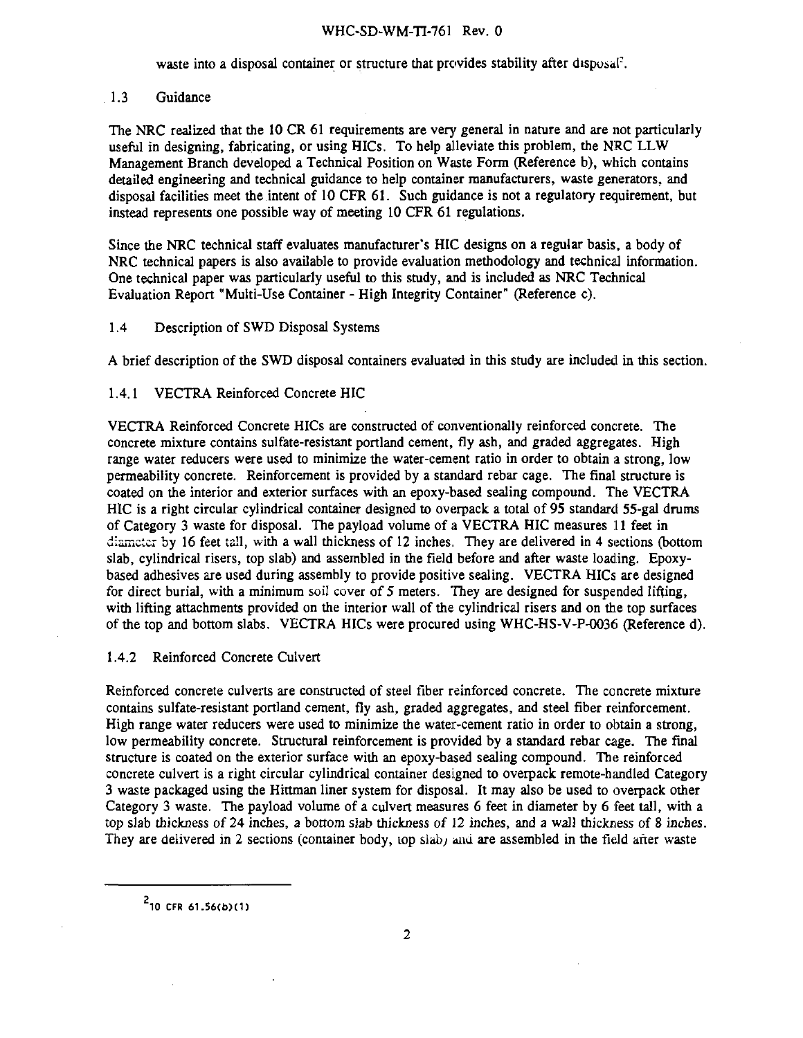waste into a disposal container or structure that provides stability after disposal<sup>2</sup>.

# 1.3 Guidance

The NRC realized that the 10 CR 61 requirements are very general in nature and are not particularly useful in designing, fabricating, or using HICs. To help alleviate this problem, the NRC LLW Management Branch developed a Technical Position on Waste Form (Reference b), which contains detailed engineering and technical guidance to help container manufacturers, waste generators, and disposal facilities meet the intent of 10 CFR 61. Such guidance is not a regulatory requirement, but instead represents one possible way of meeting 10 CFR 61 regulations.

Since the NRC technical staff evaluates manufacturer's HIC designs on a regular basis, a body of NRC technical papers is also available to provide evaluation methodology and technical information. One technical paper was particularly useful to this study, and is included as NRC Technical Evaluation Report "Multi-Use Container - High Integrity Container" (Reference c).

## 1.4 Description of SWD Disposal Systems

A brief description of the SWD disposal containers evaluated in this study are included in this section.

# 1.4.1 VECTRA Reinforced Concrete HIC

VECTRA Reinforced Concrete HICs are constructed of conventionally reinforced concrete. The concrete mixture contains sulfate-resistant portland cement, fly ash, and graded aggregates. High range water reducers were used to minimize the water-cement ratio in order to obtain a strong, low permeability concrete. Reinforcement is provided by a standard rebar cage. The final structure is coated on the interior and exterior surfaces with an epoxy-based sealing compound. The VECTRA HIC is a right circular cylindrical container designed to overpack a total of 95 standard 55-gal drums of Category 3 waste for disposal. The payload volume of a VECTRA HIC measures 11 feet in diameter by 16 feet tall, with a wall thickness of 12 inches. They are delivered in 4 sections (bottom slab, cylindrical risers, top slab) and assembled in the field before and after waste loading. Epoxybased adhesives are used during assembly to provide positive sealing. VECTRA HICs are designed for direct burial, with a minimum soil cover of 5 meters. They are designed for suspended lifting, with lifting attachments provided on the interior wall of the cylindrical risers and on the top surfaces of the top and bottom slabs. VECTRA HICs were procured using WHC-HS-V-P-0036 (Reference d).

#### 1.4.2 Reinforced Concrete Culvert

Reinforced concrete culverts are constructed of steel fiber reinforced concrete. The concrete mixture contains sulfate-resistant portland cement, fly ash, graded aggregates, and steel fiber reinforcement. High range water reducers were used to minimize the water-cement ratio in order to obtain a strong, low permeability concrete. Structural reinforcement is provided by a standard rebar cage. The final structure is coated on the exterior surface with an epoxy-based sealing compound. The reinforced concrete culvert is a right circular cylindrical container designed to overpack remote-handled Category 3 waste packaged using the Hittman liner system for disposal. It may also be used to overpack other Category 3 waste. The payload volume of a culvert measures 6 feet in diameter by 6 feet tall, with a top slab thickness of 24 inches, a bottom slab thickness of 12 inches, and a wall thickness of 8 inches. They are delivered in 2 sections (container body, top slab) and are assembled in the field after waste

 $2$ 10 CFR 61.56(b)(1)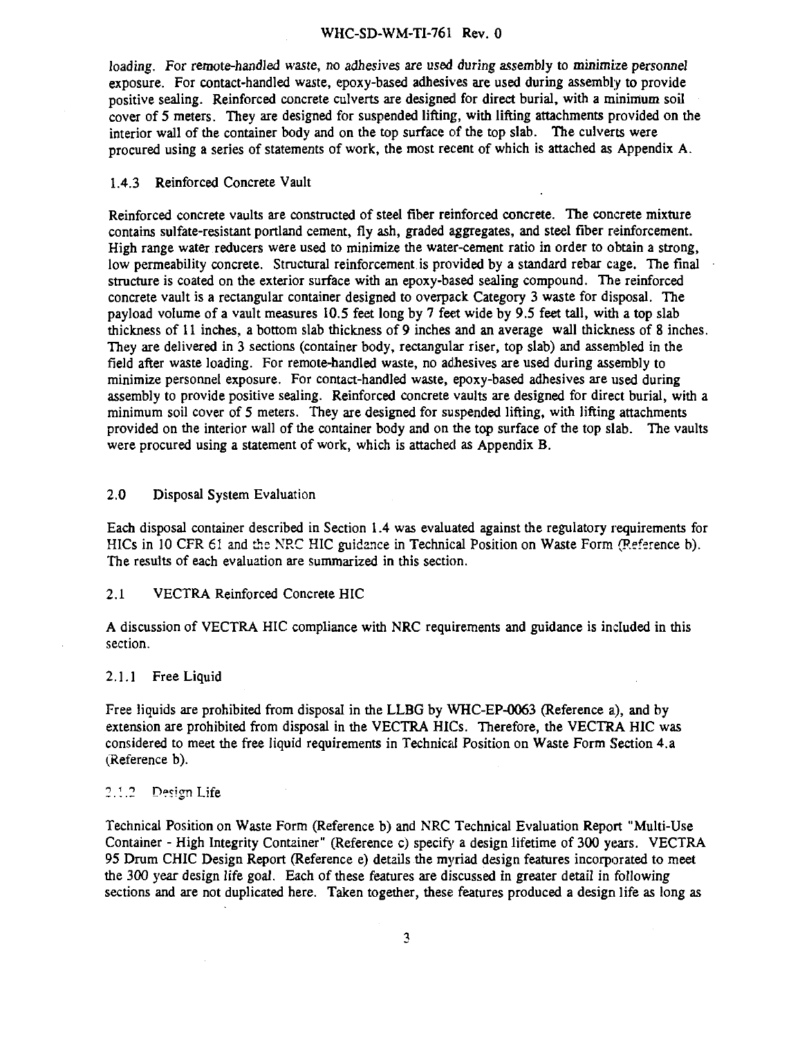loading. For remote-handled waste, no adhesives are used during assembly to minimize personnel exposure. For contact-handled waste, epoxy-based adhesives are used during assembly to provide positive sealing. Reinforced concrete culverts are designed for direct burial, with a minimum soil cover of 5 meters. They are designed for suspended lifting, with lifting attachments provided on the interior wall of the container body and on the top surface of the top slab. The culverts were procured using a series of statements of work, the most recent of which is attached as Appendix A.

#### 1.4.3 Reinforced Concrete Vault

Reinforced concrete vaults are constructed of steel fiber reinforced concrete. The concrete mixture contains sulfate-resistant portland cement, fly ash, graded aggregates, and steel fiber reinforcement. High range water reducers were used to minimize the water-cement ratio in order to obtain a strong, low permeability concrete. Structural reinforcement is provided by a standard rebar cage. The final structure is coated on the exterior surface with an epoxy-based sealing compound. The reinforced concrete vault is a rectangular container designed to overpack Category 3 waste for disposal. The payload volume of a vault measures 10.5 feet long by 7 feet wide by 9.5 feet tall, with a top slab thickness of 11 inches, a bottom slab thickness of 9 inches and an average wall thickness of 8 inches. They are delivered in 3 sections (container body, rectangular riser, top slab) and assembled in the field after waste loading. For remote-handled waste, no adhesives are used during assembly to minimize personnel exposure. For contact-handled waste, epoxy-based adhesives are used during assembly to provide positive sealing. Reinforced concrete vaults are designed for direct burial, with a minimum soil cover of 5 meters. They are designed for suspended lifting, with lifting attachments provided on the interior wall of the container body and on the top surface of the top slab. The vaults were procured using a statement of work, which is attached as Appendix B.

## 2.0 Disposal System Evaluation

Each disposal container described in Section 1.4 was evaluated against the regulatory requirements for HICs in 10 CFR 61 and the NRC HIC guidance in Technical Position on Waste Form (Reference b). The results of each evaluation are summarized in this section.

# 2.1 VECTRA Reinforced Concrete HIC

A discussion of VECTRA HIC compliance with NRC requirements and guidance is included in this section.

# 2.1.1 Free Liquid

Free liquids are prohibited from disposal in the LLBG by WHC-EP-0063 (Reference a), and by extension are prohibited from disposal in the VECTRA HICs. Therefore, the VECTRA HIC was considered to meet the free liquid requirements in Technical Position on Waste Form Section 4.a (Reference b).

#### *2.1.2* Design Life

Technical Position on Waste Form (Reference b) and NRC Technical Evaluation Report "Multi-Use Container - High Integrity Container" (Reference c) specify a design lifetime of 300 years. VECTRA 95 Drum CHIC Design Report (Reference e) details the myriad design features incorporated to meet the 300 year design life goal. Each of these features are discussed in greater detail in following sections and are not duplicated here. Taken together, these features produced a design life as long as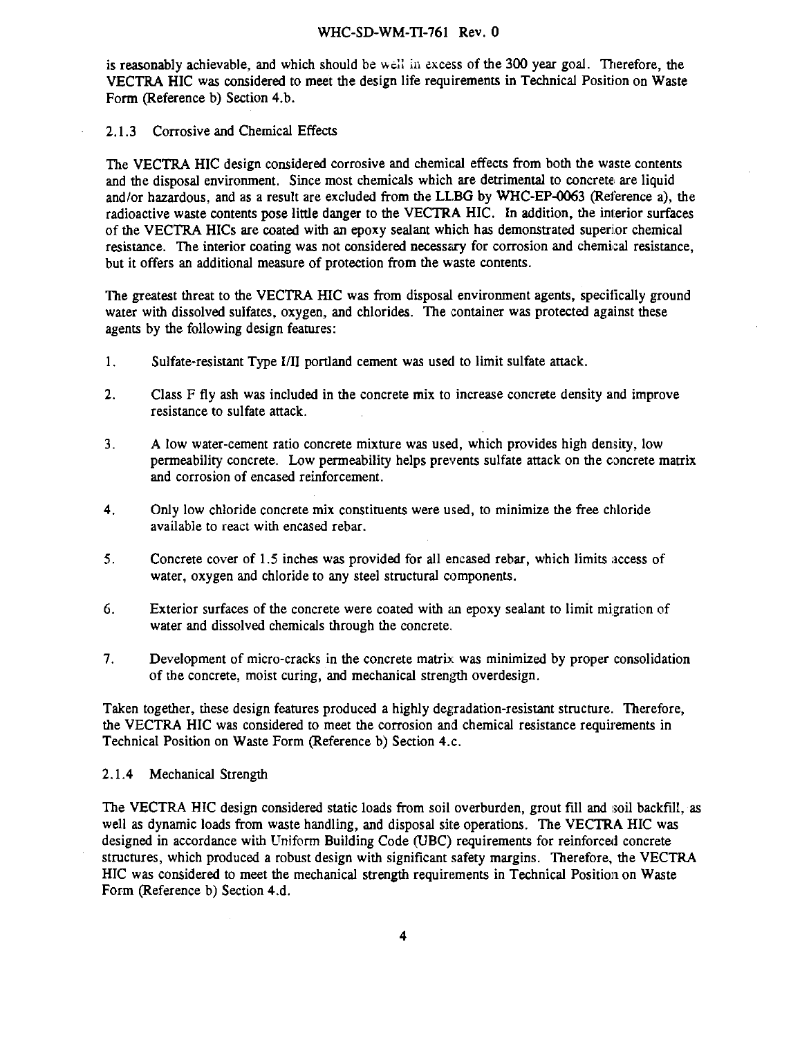is reasonably achievable, and which should be well in excess of the 300 year goal. Therefore, the VECTRA HIC was considered to meet the design life requirements in Technical Position on Waste Form (Reference b) Section 4.b.

2.1.3 Corrosive and Chemical Effects

The VECTRA HIC design considered corrosive and chemical effects from both the waste contents and the disposal environment. Since most chemicals which are detrimental to concrete are liquid and/or hazardous, and as a result are excluded from the LLBG by WHC-EP-0063 (Reference a), the radioactive waste contents pose little danger to the VECTRA HIC. In addition, the interior surfaces of the VECTRA HICs are coated with an epoxy sealant which has demonstrated superior chemical resistance. The interior coating was not considered necessary for corrosion and chemical resistance, but it offers an additional measure of protection from the waste contents.

The greatest threat to the VECTRA HIC was from disposal environment agents, specifically ground water with dissolved sulfates, oxygen, and chlorides. The container was protected against these agents by the following design features:

- 1. Sulfate-resistant Type I/II portland cement was used to limit sulfate attack.
- 2. Class F fly ash was included in the concrete mix to increase concrete density and improve resistance to sulfate attack.
- 3. A low water-cement ratio concrete mixture was used, which provides high density, low permeability concrete. Low permeability helps prevents sulfate attack on the concrete matrix and corrosion of encased reinforcement.
- 4. Only low chloride concrete mix constituents were used, to minimize the free chloride available to react with encased rebar.
- 5. Concrete cover of 1.5 inches was provided for all encased rebar, which limits access of water, oxygen and chloride to any steel structural components.
- 6. Exterior surfaces of the concrete were coated with an epoxy sealant to limit migration of water and dissolved chemicals through the concrete.
- 7. Development of micro-cracks in the concrete matrix was minimized by proper consolidation of the concrete, moist curing, and mechanical strength overdesign.

Taken together, these design features produced a highly degradation-resistant structure. Therefore, the VECTRA HIC was considered to meet the corrosion and chemical resistance requirements in Technical Position on Waste Form (Reference b) Section 4.c.

2.1.4 Mechanical Strength

The VECTRA HIC design considered static loads from soil overburden, grout fill and soil backfill, as well as dynamic loads from waste handling, and disposal site operations. The VECTRA HIC was designed in accordance with Uniform Building Code (UBC) requirements for reinforced concrete structures, which produced a robust design with significant safety margins. Therefore, the VECTRA HIC was considered to meet the mechanical strength requirements in Technical Position on Waste Form (Reference b) Section 4.d.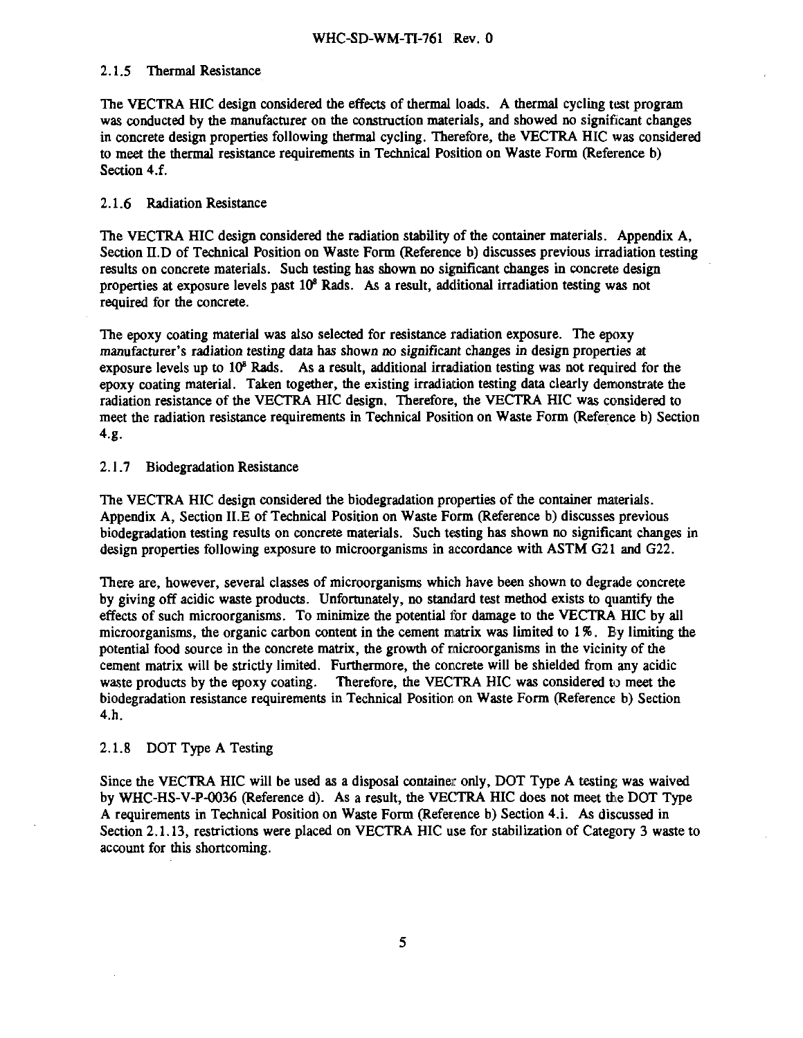# 2.1.5 Thermal Resistance

The VECTRA HIC design considered the effects of thermal loads. A thermal cycling test program was conducted by the manufacturer on the construction materials, and showed no significant changes in concrete design properties following thermal cycling. Therefore, the VECTRA HIC was considered to meet the thermal resistance requirements in Technical Position on Waste Form (Reference b) Section 4.f.

# 2.1.6 Radiation Resistance

The VECTRA HIC design considered the radiation stability of the container materials. Appendix A, Section II.D of Technical Position on Waste Form (Reference b) discusses previous irradiation testing results on concrete materials. Such testing has shown no significant changes in concrete design properties at exposure levels past 10\* Rads. As a result, additional irradiation testing was not required for the concrete.

The epoxy coating material was also selected for resistance radiation exposure. The epoxy manufacturer's radiation testing data has shown no significant changes in design properties at exposure levels up to 10<sup>8</sup> Rads. As a result, additional irradiation testing was not required for the epoxy coating material. Taken together, the existing irradiation testing data clearly demonstrate the radiation resistance of the VECTRA HIC design. Therefore, the VECTRA HIC was considered to meet the radiation resistance requirements in Technical Position on Waste Form (Reference b) Section 4-g.

# 2.1.7 Biodegradation Resistance

The VECTRA HIC design considered the biodegradation properties of the container materials. Appendix A, Section II.E of Technical Position on Waste Form (Reference b) discusses previous biodegradation testing results on concrete materials. Such testing has shown no significant changes in design properties following exposure to microorganisms in accordance with ASTM G21 and G22.

There are, however, several classes of microorganisms which have been shown to degrade concrete by giving off acidic waste products. Unfortunately, no standard test method exists to quantify the effects of such microorganisms. To minimize the potential for damage to the VECTRA HIC by all microorganisms, the organic carbon content in the cement matrix was limited to 1 %. By limiting the potential food source in the concrete matrix, the growth of microorganisms in the vicinity of the cement matrix will be strictly limited. Furthermore, the concrete will be shielded from any acidic Therefore, the VECTRA HIC was considered to meet the biodegradation resistance requirements in Technical Position on Waste Form (Reference b) Section 4.h.

# 2.1.8 DOT Type A Testing

Since the VECTRA HIC will be used as a disposal container only, DOT Type A testing was waived by WHC-HS-V-P-0036 (Reference d). As a result, the VECTRA HIC does not meet the DOT Type A requirements in Technical Position on Waste Form (Reference b) Section 4.i. As discussed in Section 2.1.13, restrictions were placed on VECTRA HIC use for stabilization of Category 3 waste to account for this shortcoming.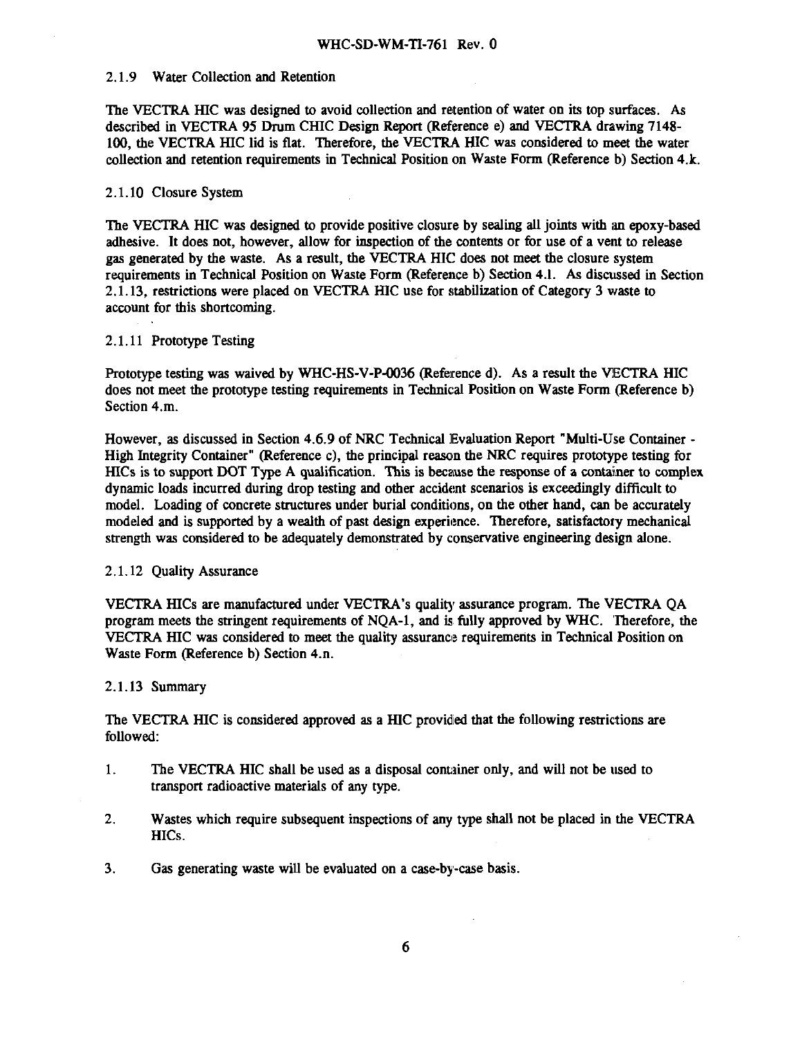#### 2.1.9 Water Collection and Retention

The VECTRA HIC was designed to avoid collection and retention of water on its top surfaces. As described in VECTRA 95 Drum CHIC Design Report (Reference e) and VECTRA drawing 7148- 100, the VECTRA HIC lid is flat. Therefore, the VECTRA HIC was considered to meet the water collection and retention requirements in Technical Position on Waste Form (Reference b) Section 4.k.

#### 2.1.10 Closure System

The VECTRA HIC was designed to provide positive closure by sealing all joints with an epoxy-based adhesive. It does not, however, allow for inspection of the contents or for use of a vent to release gas generated by the waste. As a result, the VECTRA HIC does not meet the closure system requirements in Technical Position on Waste Form (Reference b) Section 4.1. As discussed in Section 2.1.13, restrictions were placed on VECTRA HIC use for stabilization of Category 3 waste to account for this shortcoming.

#### 2.1.11 Prototype Testing

Prototype testing was waived by WHC-HS-V-P-0036 (Reference d). As a result the VECTRA HIC does not meet the prototype testing requirements in Technical Position on Waste Form (Reference b) Section 4.m.

However, as discussed in Section 4.6.9 of NRC Technical Evaluation Report "Multi-Use Container - High Integrity Container" (Reference c), the principal reason the NRC requires prototype testing for HICs is to support DOT Type A qualification. This is because the response of a container to complex dynamic loads incurred during drop testing and other accident scenarios is exceedingly difficult to model. Loading of concrete structures under burial conditions, on the other hand, can be accurately modeled and is supported by a wealth of past design experience. Therefore, satisfactory mechanical strength was considered to be adequately demonstrated by conservative engineering design alone.

#### 2.1.12 Quality Assurance

VECTRA HICs are manufactured under VECTRA's quality assurance program. The VECTRA QA program meets the stringent requirements of NQA-1, and is fully approved by WHC. Therefore, the VECTRA HIC was considered to meet the quality assurance requirements in Technical Position on Waste Form (Reference b) Section 4.n.

#### 2.1.13 Summary

The VECTRA HIC is considered approved as a HIC provided that the following restrictions are followed:

- 1. The VECTRA HIC shall be used as a disposal container only, and will not be used to transport radioactive materials of any type.
- 2. Wastes which require subsequent inspections of any type shall not be placed in the VECTRA HICs.
- 3. Gas generating waste will be evaluated on a case-by-case basis.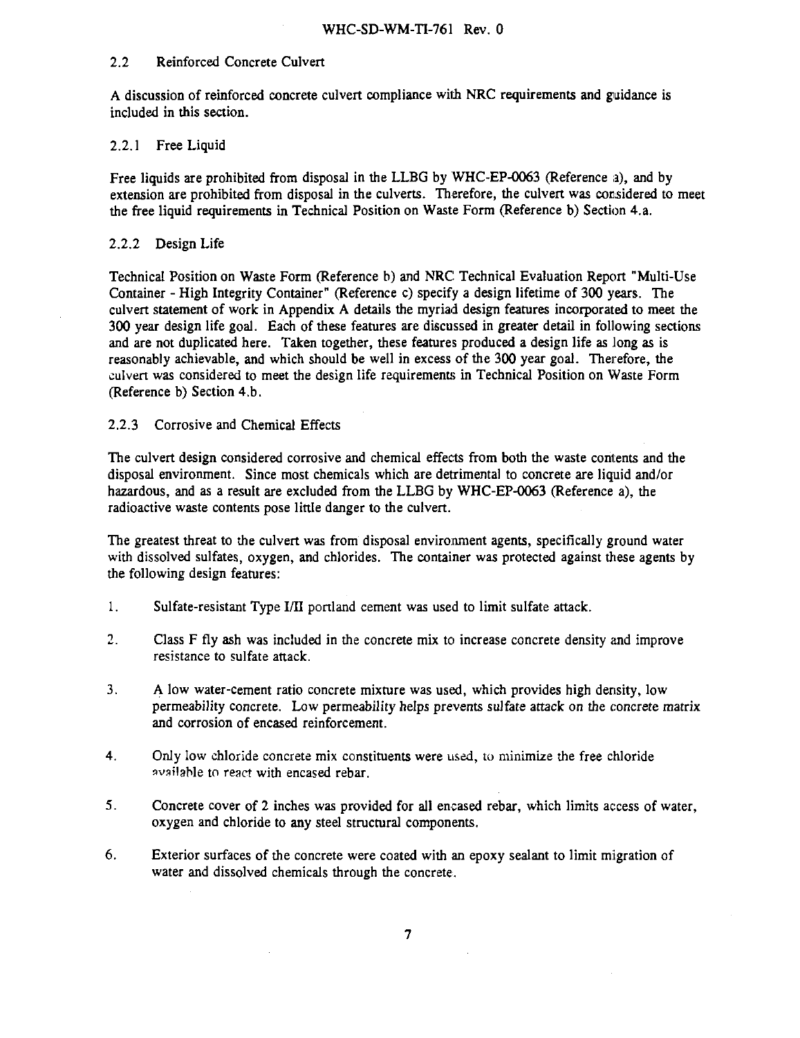# 2.2 Reinforced Concrete Culvert

A discussion of reinforced concrete culvert compliance with NRC requirements and guidance is included in this section.

# 2.2.1 Free Liquid

Free liquids are prohibited from disposal in the LLBG by WHC-EP-0063 (Reference a), and by extension are prohibited from disposal in the culverts. Therefore, the culvert was considered to meet the free liquid requirements in Technical Position on Waste Form (Reference b) Section 4.a.

# 2.2.2 Design Life

Technical Position on Waste Form (Reference b) and NRC Technical Evaluation Report "Multi-Use Container - High Integrity Container" (Reference c) specify a design lifetime of 300 years. The culvert statement of work in Appendix A details the myriad design features incorporated to meet the 300 year design life goal. Each of these features are discussed in greater detail in following sections and are not duplicated here. Taken together, these features produced a design life as long as is reasonably achievable, and which should be well in excess of the 300 year goal. Therefore, the culvert was considered to meet the design life requirements in Technical Position on Waste Form (Reference b) Section 4.b.

# 2.2.3 Corrosive and Chemical Effects

The culvert design considered corrosive and chemical effects from both the waste contents and the disposal environment. Since most chemicals which are detrimental to concrete are liquid and/or hazardous, and as a result are excluded from the LLBG by WHC-EP-0063 (Reference a), the radioactive waste contents pose little danger to the culvert.

The greatest threat to the culvert was from disposal environment agents, specifically ground water with dissolved sulfates, oxygen, and chlorides. The container was protected against these agents by the following design features:

- 1. Sulfate-resistant Type I/II portland cement was used to limit sulfate attack.
- 2. Class F fly ash was included in the concrete mix to increase concrete density and improve resistance to sulfate attack.
- 3. A low water-cement ratio concrete mixture was used, which provides high density, low permeability concrete. Low permeability helps prevents sulfate attack on the concrete matrix and corrosion of encased reinforcement.
- 4. Only low chloride concrete mix constituents were used, to minimize the free chloride available to react with encased rebar.
- 5. Concrete cover of 2 inches was provided for all encased rebar, which limits access of water, oxygen and chloride to any steel structural components.
- 6. Exterior surfaces of the concrete were coated with an epoxy sealant to limit migration of water and dissolved chemicals through the concrete.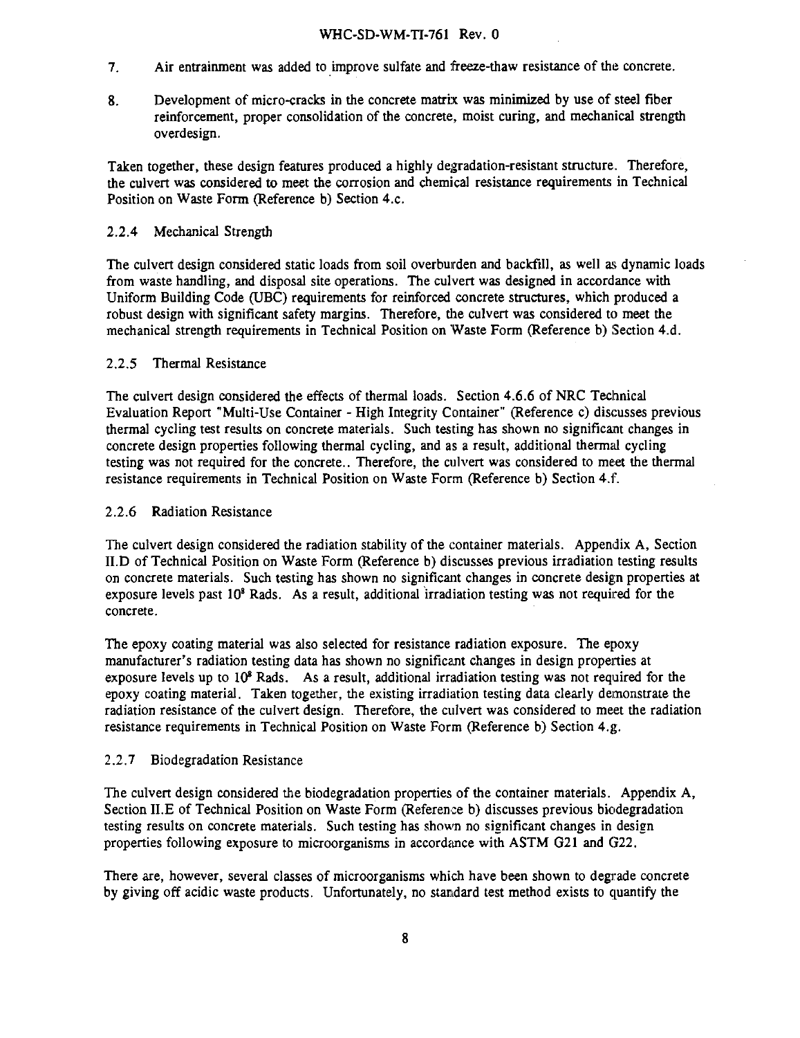- 7. Air entrainment was added to improve sulfate and freeze-thaw resistance of the concrete.
- 8. Development of micro-cracks in the concrete matrix was minimized by use of steel fiber reinforcement, proper consolidation of the concrete, moist curing, and mechanical strength overdesign.

Taken together, these design features produced a highly degradation-resistant structure. Therefore, the culvert was considered to meet the corrosion and chemical resistance requirements in Technical Position on Waste Form (Reference b) Section 4.c.

# 2.2.4 Mechanical Strength

The culvert design considered static loads from soil overburden and backfill, as well as dynamic loads from waste handling, and disposal site operations. The culvert was designed in accordance with Uniform Building Code (UBC) requirements for reinforced concrete structures, which produced a robust design with significant safety margins. Therefore, the culvert was considered to meet the mechanical strength requirements in Technical Position on Waste Form (Reference b) Section 4.d.

# 2.2.5 Thermal Resistance

The culvert design considered the effects of thermal loads. Section 4.6.6 of NRC Technical Evaluation Report "Multi-Use Container - High Integrity Container" (Reference c) discusses previous thermal cycling test results on concrete materials. Such testing has shown no significant changes in concrete design properties following thermal cycling, and as a result, additional thermal cycling testing was not required for the concrete.. Therefore, the culvert was considered to meet the thermal resistance requirements in Technical Position on Waste Form (Reference b) Section 4.f.

# 2.2.6 Radiation Resistance

The culvert design considered the radiation stability of the container materials. Appendix A, Section II.D of Technical Position on Waste Form (Reference b) discusses previous irradiation testing results on concrete materials. Such testing has shown no significant changes in concrete design properties at exposure levels past 10\* Rads. As a result, additional irradiation testing was not required for the concrete.

The epoxy coating material was also selected for resistance radiation exposure. The epoxy manufacturer's radiation testing data has shown no significant changes in design properties at exposure levels up to 10<sup>8</sup> Rads. As a result, additional irradiation testing was not required for the epoxy coating material. Taken together, the existing irradiation testing data clearly demonstrate the radiation resistance of the culvert design. Therefore, the culvert was considered to meet the radiation resistance requirements in Technical Position on Waste Form (Reference b) Section 4.g.

# 2.2.7 Biodegradation Resistance

The culvert design considered the biodegradation properties of the container materials. Appendix A, Section II.E of Technical Position on Waste Form (Reference b) discusses previous biodegradation testing results on concrete materials. Such testing has shown no significant changes in design properties following exposure to microorganisms in accordance with ASTM G21 and G22.

There are, however, several classes of microorganisms which have been shown to degrade concrete by giving off acidic waste products. Unfortunately, no standard test method exists to quantify the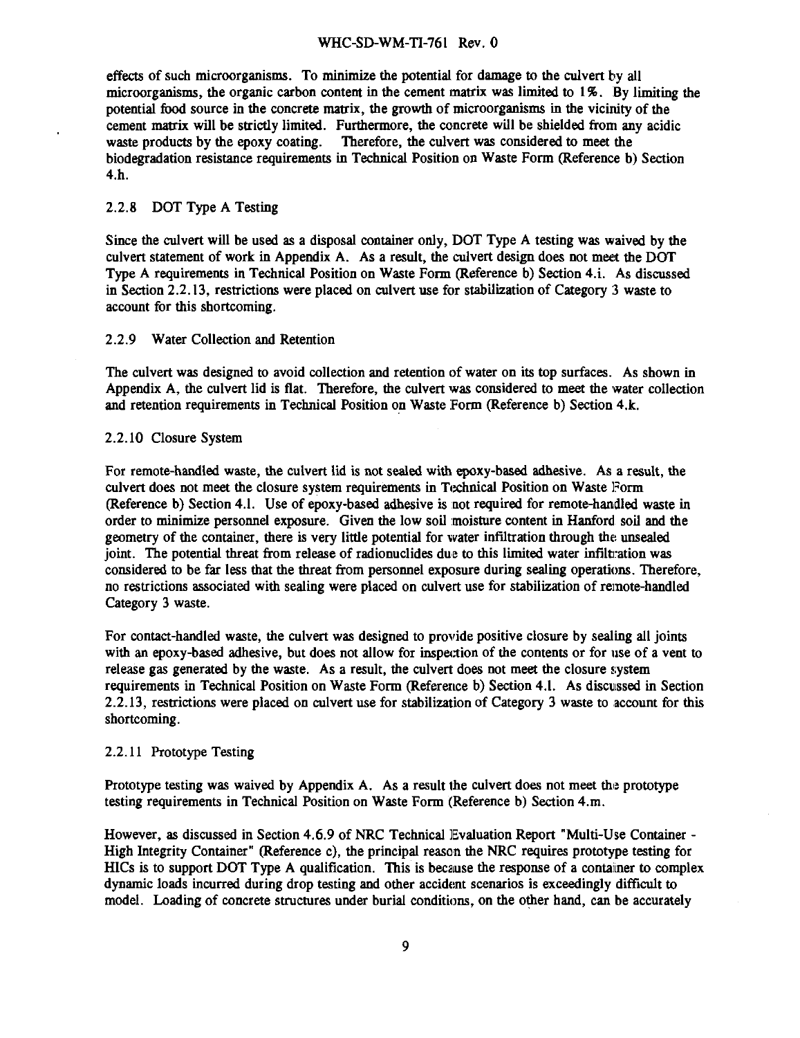effects of such microorganisms. To minimize the potential for damage to the culvert by all microorganisms, the organic carbon content in the cement matrix was limited to 1 *%.* By limiting the potential food source in the concrete matrix, the growth of microorganisms in the vicinity of the cement matrix will be strictly limited. Furthermore, the concrete will be shielded from any acidic Therefore, the culvert was considered to meet the biodegradation resistance requirements in Technical Position on Waste Form (Reference b) Section 4.h.

# 2.2.8 DOT Type A Testing

Since the culvert will be used as a disposal container only, DOT Type A testing was waived by the culvert statement of work in Appendix A. As a result, the culvert design does not meet the DOT Type A requirements in Technical Position on Waste Form (Reference b) Section 4.i. As discussed in Section 2.2.13, restrictions were placed on culvert use for stabilization of Category 3 waste to account for this shortcoming.

#### 2.2.9 Water Collection and Retention

The culvert was designed to avoid collection and retention of water on its top surfaces. As shown in Appendix A, the culvert lid is flat. Therefore, the culvert was considered to meet the water collection and retention requirements in Technical Position on Waste Form (Reference b) Section 4,k.

#### 2.2.10 Closure System

For remote-handled waste, the culvert lid is not sealed with epoxy-based adhesive. As a result, the culvert does not meet the closure system requirements in Technical Position on Waste Form (Reference b) Section 4.1. Use of epoxy-based adhesive is not required for remote-handled waste in order to minimize personnel exposure. Given the low soil moisture content in Hanford soil and the geometry of the container, there is very little potential for water infiltration through the unsealed joint. The potential threat from release of radionuclides due to this limited water infiltration was considered to be far less that the threat from personnel exposure during sealing operations. Therefore, no restrictions associated with sealing were placed on culvert use for stabilization of remote-handled Category 3 waste.

For contact-handled waste, the culvert was designed to provide positive closure by sealing all joints with an epoxy-based adhesive, but does not allow for inspection of the contents or for use of a vent to release gas generated by the waste. As a result, the culvert does not meet the closure system requirements in Technical Position on Waste Form (Reference b) Section 4.1. As discussed in Section 2.2.13, restrictions were placed on culvert use for stabilization of Category 3 waste to account for this shortcoming.

#### 2.2.11 Prototype Testing

Prototype testing was waived by Appendix A. As a result the culvert does not meet the prototype testing requirements in Technical Position on Waste Form (Reference b) Section 4.m.

However, as discussed in Section 4.6.9 of NRC Technical Evaluation Report "Multi-Use Container - High Integrity Container" (Reference c), the principal reason the NRC requires prototype testing for HICs is to support DOT Type A qualification. This is because the response of a container to complex dynamic loads incurred during drop testing and other accident scenarios is exceedingly difficult to model. Loading of concrete structures under burial conditions, on the other hand, can be accurately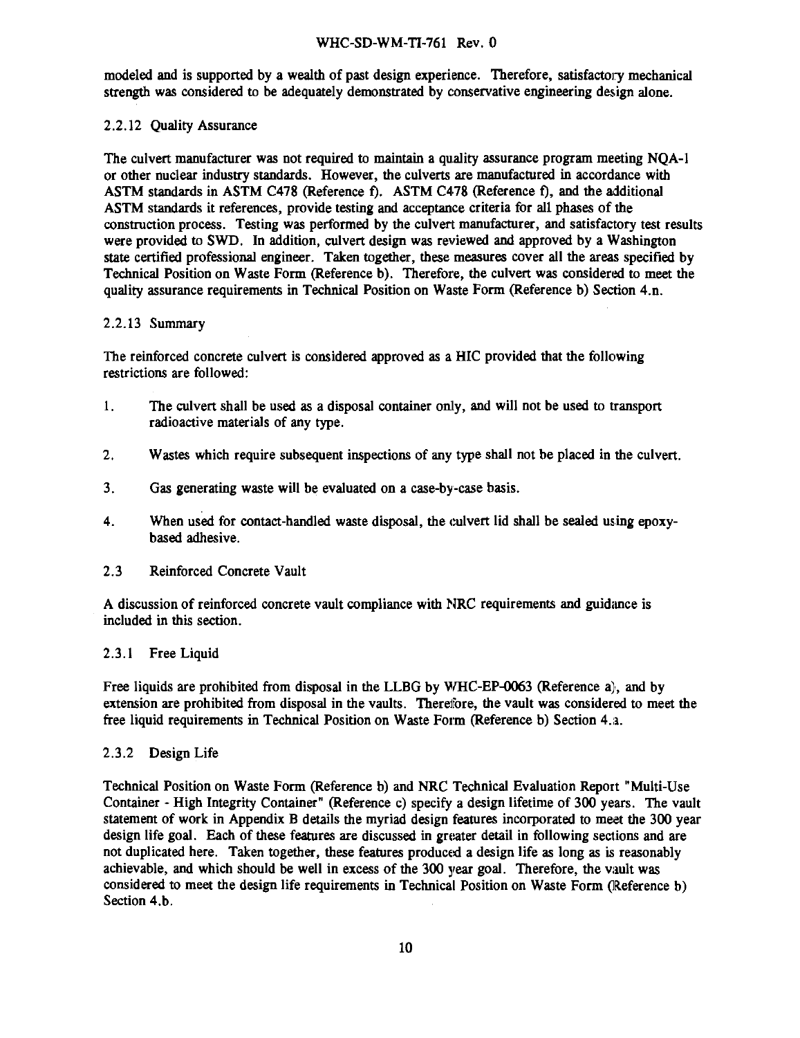modeled and is supported by a wealth of past design experience. Therefore, satisfactory mechanical strength was considered to be adequately demonstrated by conservative engineering design alone.

# 2.2.12 Quality Assurance

The culvert manufacturer was not required to maintain a quality assurance program meeting NQA-1 or other nuclear industry standards. However, the culverts are manufactured in accordance with ASTM standards in ASTM C478 (Reference f). ASTM C478 (Reference f), and the additional ASTM standards it references, provide testing and acceptance criteria for all phases of the construction process. Testing was performed by the culvert manufacturer, and satisfactory test results were provided to SWD. In addition, culvert design was reviewed and approved by a Washington state certified professional engineer. Taken together, these measures cover all the areas specified by Technical Position on Waste Form (Reference b). Therefore, the culvert was considered to meet the quality assurance requirements in Technical Position on Waste Form (Reference b) Section 4.n.

# 2.2.13 Summary

The reinforced concrete culvert is considered approved as a HIC provided that the following restrictions are followed:

- 1. The culvert shall be used as a disposal container only, and will not be used to transport radioactive materials of any type.
- 2. Wastes which require subsequent inspections of any type shall not be placed in the culvert.
- 3. Gas generating waste will be evaluated on a case-by-case basis.
- 4. When used for contact-handled waste disposal, the culvert lid shall be sealed using epoxybased adhesive.
- 2.3 Reinforced Concrete Vault

A discussion of reinforced concrete vault compliance with NRC requirements and guidance is included in this section.

# 2.3.1 Free Liquid

Free liquids are prohibited from disposal in the LLBG by WHC-EP-0063 (Reference a), and by extension are prohibited from disposal in the vaults. Therefore, the vault was considered to meet the free liquid requirements in Technical Position on Waste Form (Reference b) Section 4.a.

# 2.3.2 Design Life

Technical Position on Waste Form (Reference b) and NRC Technical Evaluation Report "Multi-Use Container - High Integrity Container" (Reference c) specify a design lifetime of 300 years. The vault statement of work in Appendix B details the myriad design features incorporated to meet the 300 year design life goal. Each of these features are discussed in greater detail in following sections and are not duplicated here. Taken together, these features produced a design life as long as is reasonably achievable, and which should be well in excess of the 300 year goal. Therefore, the vault was considered to meet the design life requirements in Technical Position on Waste Form (Reference b) Section 4.b.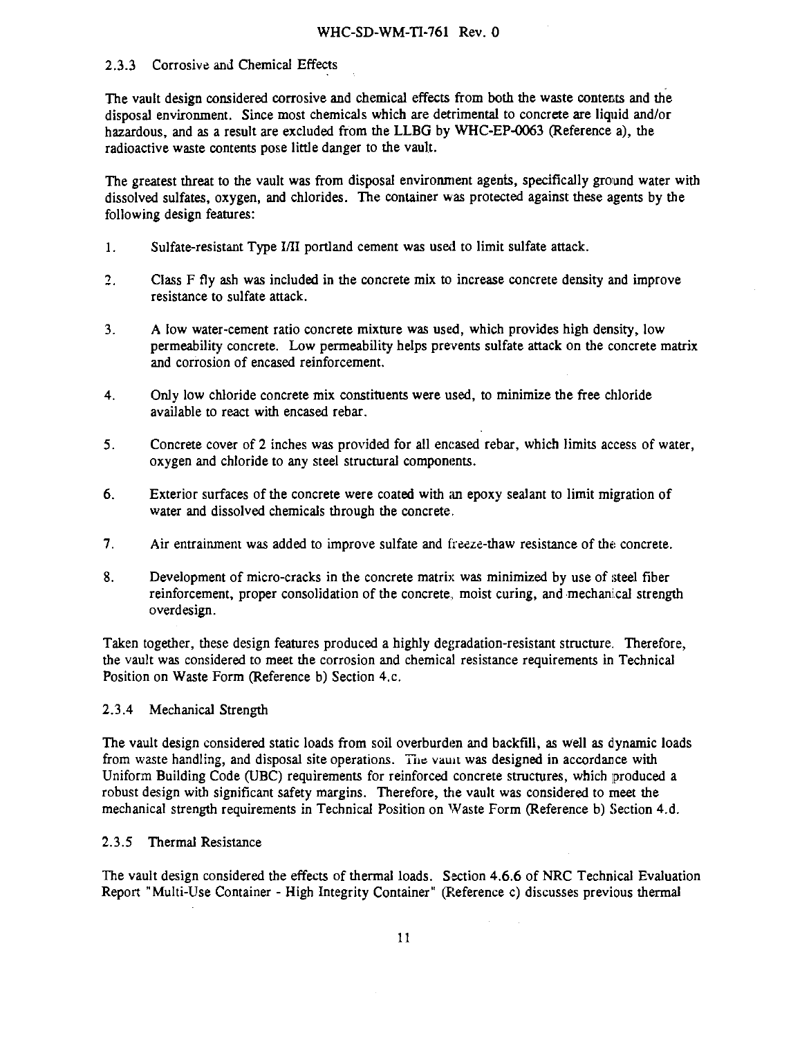# 2.3.3 Corrosive and Chemical Effects

The vault design considered corrosive and chemical effects from both the waste contents and the disposal environment. Since most chemicals which are detrimental to concrete are liquid and/or hazardous, and as a result are excluded from the LLBG by WHC-EP-0063 (Reference a), the radioactive waste contents pose little danger to the vault.

The greatest threat to the vault was from disposal environment agents, specifically ground water with dissolved sulfates, oxygen, and chlorides. The container was protected against these agents by the following design features:

- 1. Sulfate-resistant Type I/II portland cement was used to limit sulfate attack.
- *1.* Class F fly ash was included in the concrete mix to increase concrete density and improve resistance to sulfate attack.
- 3. A low water-cement ratio concrete mixture was used, which provides high density, low permeability concrete. Low permeability helps prevents sulfate attack on the concrete matrix and corrosion of encased reinforcement.
- 4. Only low chloride concrete mix constituents were used, to minimize the free chloride available to react with encased rebar.
- 5. Concrete cover of 2 inches was provided for all encased rebar, which limits access of water, oxygen and chloride to any steel structural components.
- 6. Exterior surfaces of the concrete were coated with an epoxy sealant to limit migration of water and dissolved chemicals through the concrete.
- 7. Air entrainment was added to improve sulfate and freeze-thaw resistance of the concrete.
- 8. Development of micro-cracks in the concrete matrix was minimized by use of steel fiber reinforcement, proper consolidation of the concrete, moist curing, and mechanical strength overdesign.

Taken together, these design features produced a highly degradation-resistant structure. Therefore, the vault was considered to meet the corrosion and chemical resistance requirements in Technical Position on Waste Form (Reference b) Section 4.c.

# 2.3.4 Mechanical Strength

The vault design considered static loads from soil overburden and backfill, as well as dynamic loads from waste handling, and disposal site operations. The vauit was designed in accordance with Uniform Building Code (UBC) requirements for reinforced concrete structures, which produced a robust design with significant safety margins. Therefore, the vault was considered to meet the mechanical strength requirements in Technical Position on Waste Form (Reference b) Section 4.d.

# 2.3.5 Thermal Resistance

The vault design considered the effects of thermal loads. Section 4.6.6 of NRC Technical Evaluation Report "Multi-Use Container - High Integrity Container" (Reference c) discusses previous thermal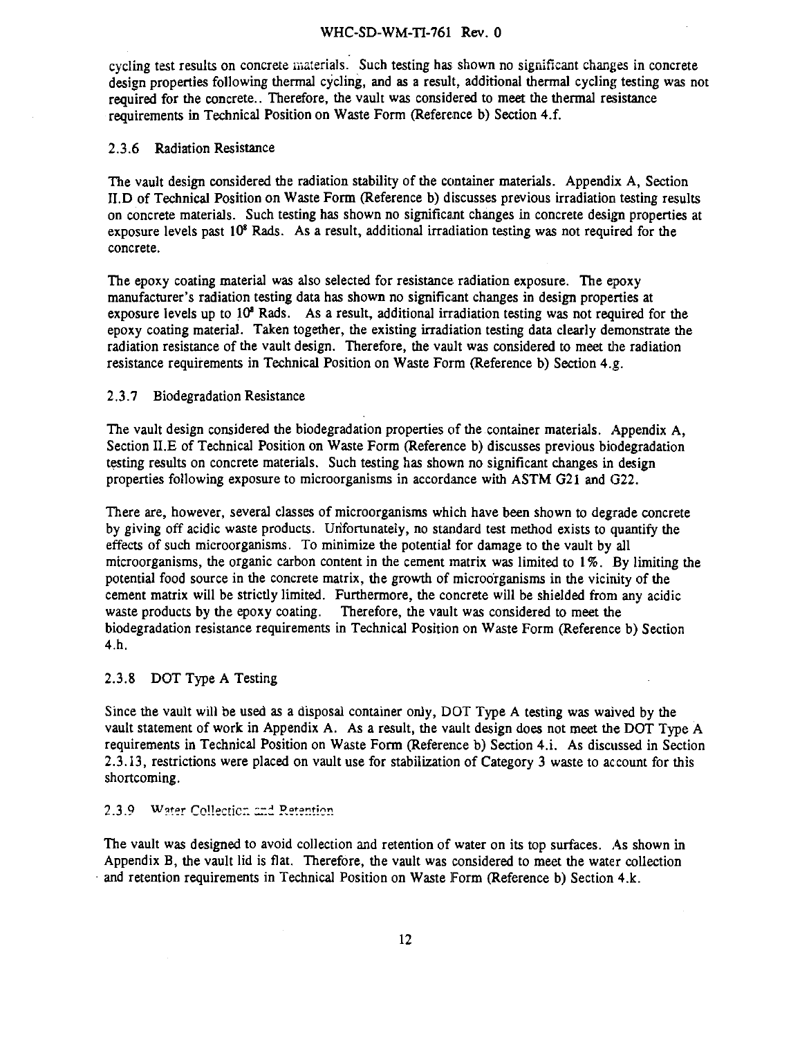cycling test results on concrete materials. Such testing has shown no significant changes in concrete design properties following thermal cycling, and as a result, additional thermal cycling testing was not required for the concrete.. Therefore, the vault was considered to meet the thermal resistance requirements in Technical Position on Waste Form (Reference b) Section 4.f.

# 2.3.6 Radiation Resistance

The vault design considered the radiation stability of the container materials. Appendix A, Section n.D of Technical Position on Waste Form (Reference b) discusses previous irradiation testing results on concrete materials. Such testing has shown no significant changes in concrete design properties at exposure levels past 10' Rads. As a result, additional irradiation testing was not required for the concrete.

The epoxy coating material was also selected for resistance radiation exposure. The epoxy manufacturer's radiation testing data has shown no significant changes in design properties at exposure levels up to 10\* Rads. As a result, additional irradiation testing was not required for the epoxy coating material. Taken together, the existing irradiation testing data clearly demonstrate the radiation resistance of the vault design. Therefore, the vault was considered to meet the radiation resistance requirements in Technical Position on Waste Form (Reference b) Section 4.g.

#### 2.3.7 Biodegradation Resistance

The vault design considered the biodegradation properties of the container materials. Appendix A, Section II.E of Technical Position on Waste Form (Reference b) discusses previous biodegradation testing results on concrete materials. Such testing has shown no significant changes in design properties following exposure to microorganisms in accordance with ASTM G21 and G22.

There are, however, several classes of microorganisms which have been shown to degrade concrete by giving off acidic waste products. Unfortunately, no standard test method exists to quantify the effects of such microorganisms. To minimize the potential for damage to the vault by all microorganisms, the organic carbon content in the cement matrix was limited to 1%. By limiting the potential food source in the concrete matrix, the growth of microorganisms in the vicinity of the cement matrix will be strictly limited. Furthermore, the concrete will be shielded from any acidic waste products by the epoxy coating. Therefore, the vault was considered to meet the biodegradation resistance requirements in Technical Position on Waste Form (Reference b) Section 4.h.

# 2.3.8 DOT Type A Testing

Since the vault will be used as a disposal container only, DOT Type A testing was waived by the vault statement of work in Appendix A. As a result, the vault design does not meet the DOT Type A requirements in Technical Position on Waste Form (Reference b) Section 4.i. As discussed in Section 2.3.13, restrictions were placed on vault use for stabilization of Category 3 waste to account for this shortcoming.

# 2.3.9 Water Collection and Retention.

The vault was designed to avoid collection and retention of water on its top surfaces. As shown in Appendix B, the vault lid is flat. Therefore, the vault was considered to meet the water collection and retention requirements in Technical Position on Waste Form (Reference b) Section 4.k.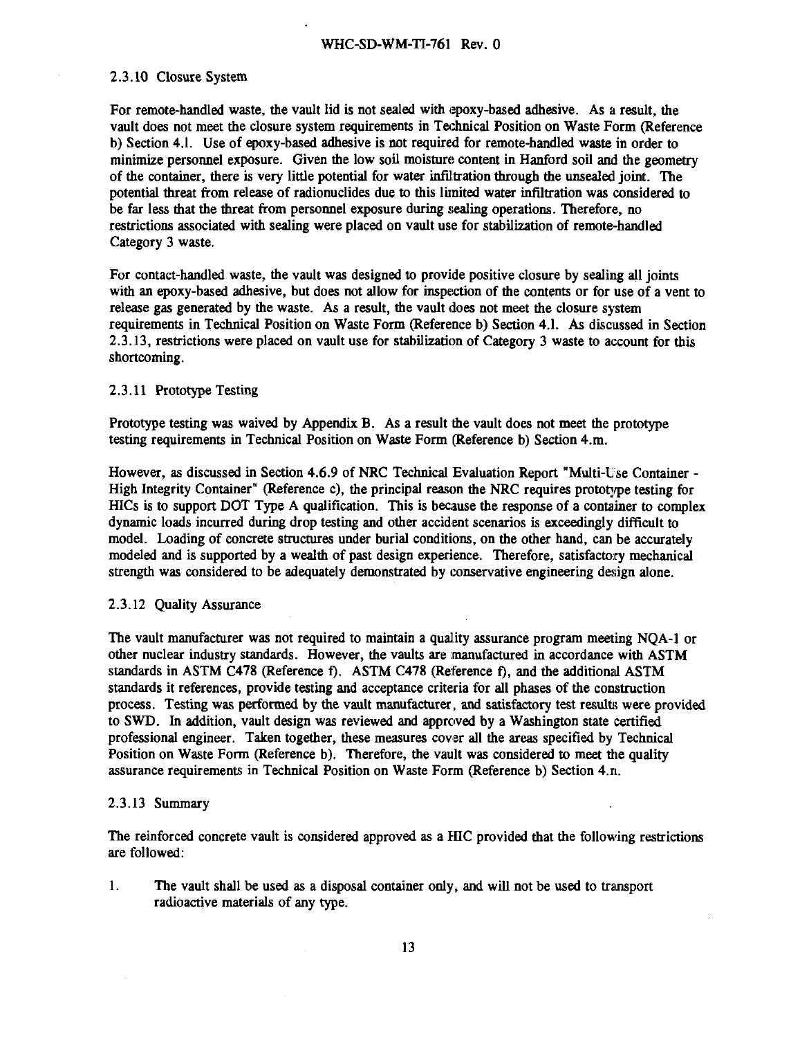## 2.3.10 Closure System

For remote-handled waste, the vault lid is not sealed with epoxy-based adhesive. As a result, the vault does not meet the closure system requirements in Technical Position on Waste Form (Reference b) Section 4.1. Use of epoxy-based adhesive is not required for remote-handled waste in order to minimize personnel exposure. Given the low soil moisture content in Hanford soil and the geometry of the container, there is very little potential for water infiltration through the unsealed joint. The potential threat from release of radionuclides due to this limited water infiltration was considered to be far less that the threat from personnel exposure during sealing operations. Therefore, no restrictions associated with sealing were placed on vault use for stabilization of remote-handled Category 3 waste.

For contact-handled waste, the vault was designed to provide positive closure by sealing all joints with an epoxy-based adhesive, but does not allow for inspection of the contents or for use of a vent to release gas generated by the waste. As a result, the vault does not meet the closure system requirements in Technical Position on Waste Form (Reference b) Section 4.1. As discussed in Section 2.3.13, restrictions were placed on vault use for stabilization of Category 3 waste to account for this shortcoming.

# 2.3.11 Prototype Testing

Prototype testing was waived by Appendix B. As a result the vault does not meet the prototype testing requirements in Technical Position on Waste Form (Reference b) Section 4.m.

However, as discussed in Section 4.6.9 of NRC Technical Evaluation Report "Multi-Use Container -High Integrity Container" (Reference c), the principal reason the NRC requires prototype testing for HICs is to support DOT Type A qualification. This is because the response of a container to complex dynamic loads incurred during drop testing and other accident scenarios is exceedingly difficult to model. Loading of concrete structures under burial conditions, on the other hand, can be accurately modeled and is supported by a wealth of past design experience. Therefore, satisfactory mechanical strength was considered to be adequately demonstrated by conservative engineering design alone.

# 2.3.12 Quality Assurance

The vault manufacturer was not required to maintain a quality assurance program meeting NQA-1 or other nuclear industry standards. However, the vaults are manufactured in accordance with ASTM standards in ASTM C478 (Reference f). ASTM C478 (Reference f), and the additional ASTM standards it references, provide testing and acceptance criteria for all phases of the construction process. Testing was performed by the vault manufacturer, and satisfactory test results were provided to SWD. In addition, vault design was reviewed and approved by a Washington state certified professional engineer. Taken together, these measures cover all the areas specified by Technical Position on Waste Form (Reference b). Therefore, the vault was considered to meet the quality assurance requirements in Technical Position on Waste Form (Reference b) Section 4.n.

### 2.3.13 Summary

The reinforced concrete vault is considered approved as a HIC provided that the following restrictions are followed:

1. The vault shall be used as a disposal container only, and will not be used to transport radioactive materials of any type.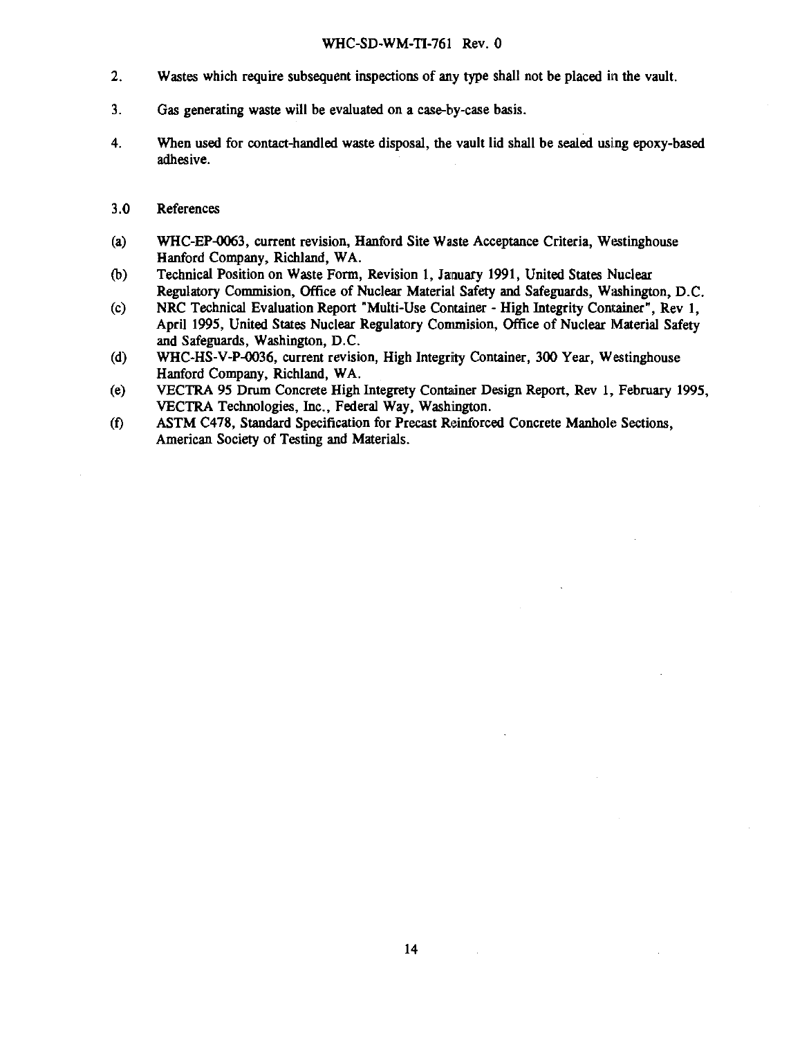- 2. Wastes which require subsequent inspections of any type shall not be placed in the vault.
- 3. Gas generating waste will be evaluated on a case-by-case basis.
- 4. When used for contact-handled waste disposal, the vault lid shall be sealed using epoxy-based adhesive.
- 3.0 References
- (a) WHC-EP-0063, current revision, Hanford Site Waste Acceptance Criteria, Westinghouse Hanford Company, Richland, WA.
- (b) Technical Position on Waste Form, Revision 1, January 1991, United States Nuclear Regulatory Commision, Office of Nuclear Material Safety and Safeguards, Washington, D.C.
- (c) NRC Technical Evaluation Report "Multi-Use Container High Integrity Container", Rev 1, April 1995, United States Nuclear Regulatory Commision, Office of Nuclear Material Safety and Safeguards, Washington, D.C.
- (d) WHC-HS-V-P-0036, current revision, High Integrity Container, 300 Year, Westinghouse Hanford Company, Richland, WA.
- (e) VECTRA 95 Drum Concrete High Integrety Container Design Report, Rev 1, February 1995, VECTRA Technologies, Inc., Federal Way, Washington.
- (f) ASTM C478, Standard Specification for Precast Reinforced Concrete Manhole Sections, American Society of Testing and Materials.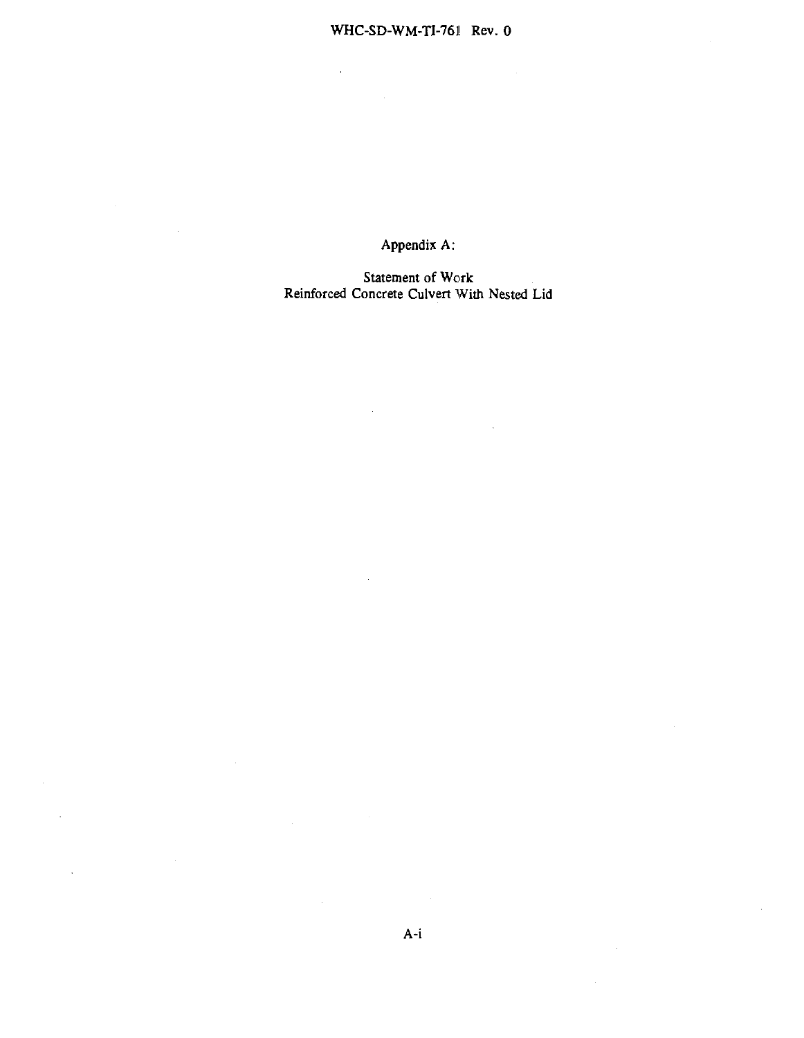$\hat{\mathcal{A}}$ 

Appendix A:

Statement of Work Reinforced Concrete Culvert With Nested Lid

J.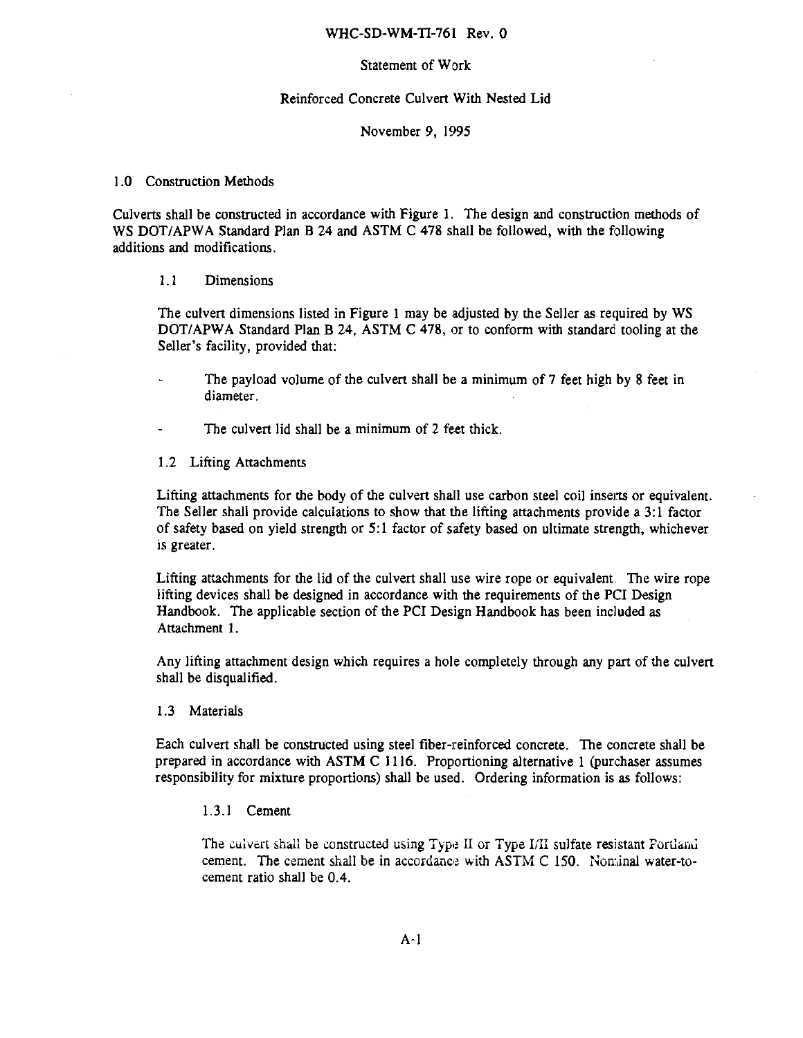# Statement of Work

# Reinforced Concrete Culvert With Nested Lid

#### November 9, 1995

## 1.0 Construction Methods

Culverts shall be constructed in accordance with Figure 1. The design and construction methods of WS DOT/APWA Standard Plan B 24 and ASTM C 478 shall be followed, with the following additions and modifications.

# 1.1 Dimensions

The culvert dimensions listed in Figure 1 may be adjusted by the Seller as required by WS DOT/APWA Standard Plan B 24, ASTM C 478, or to conform with standard: tooling at the Seller's facility, provided that:

- The payload volume of the culvert shall be a minimum of 7 feet high by 8 feet in diameter.
- The culvert lid shall be a minimum of 2 feet thick.

#### 1.2 Lifting Attachments

Lifting attachments for the body of the culvert shall use carbon steel coil inserts or equivalent. The Seller shall provide calculations to show that the lifting attachments provide a 3:1 factor of safety based on yield strength or 5:1 factor of safety based on ultimate strength, whichever is greater.

Lifting attachments for the lid of the culvert shall use wire rope or equivalent The wire rope lifting devices shall be designed in accordance with the requirements of the PCI Design Handbook. The applicable section of the PCI Design Handbook has been included as Attachment 1.

Any lifting attachment design which requires a hole completely through any part of the culvert shall be disqualified.

#### 1.3 Materials

Each culvert shall be constructed using steel fiber-reinforced concrete. The concrete shall be prepared in accordance with ASTM C 1116. Proportioning alternative 1 (purchaser assumes responsibility for mixture proportions) shall be used. Ordering information is as follows:

#### 1.3.1 Cement

The culvert shall be constructed using Type II or Type I/II sulfate resistant Portland cement. The cement shall be in accordance with ASTM C 150. Nominal water-tocement ratio shall be 0.4.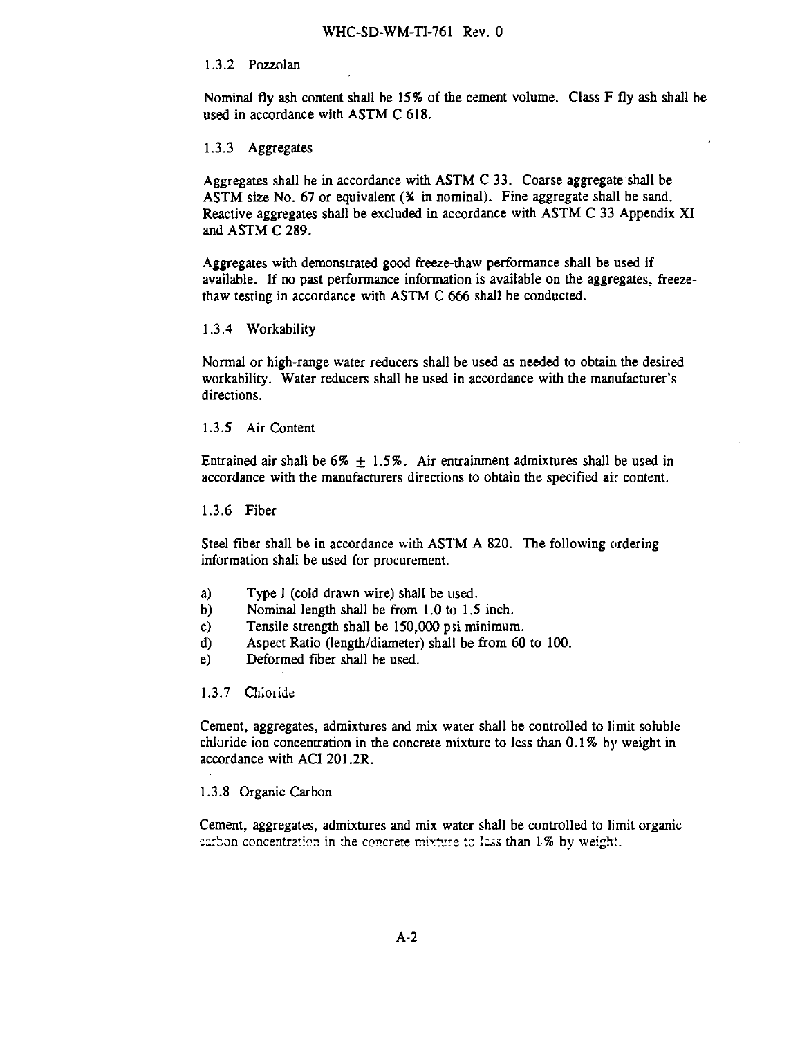#### 1.3.2 Pozzolan

Nominal fly ash content shall be 15% of the cement volume. Class F fly ash shall be used in accordance with ASTM C 618.

# 1.3.3 Aggregates

Aggregates shall be in accordance with ASTM C 33. Coarse aggregate shall be ASTM size No. 67 or equivalent  $(X$  in nominal). Fine aggregate shall be sand. Reactive aggregates shall be excluded in accordance with ASTM C 33 Appendix XI and ASTM C 289.

Aggregates with demonstrated good freeze-thaw performance shall be used if available. If no past performance information is available on the aggregates, freezethaw testing in accordance with ASTM C 666 shall be conducted.

#### 1.3.4 Workability

Normal or high-range water reducers shall be used as needed to obtain the desired workability. Water reducers shall be used in accordance with the manufacturer's directions.

# 1.3.5 Air Content

Entrained air shall be  $6\% + 1.5\%$ . Air entrainment admixtures shall be used in accordance with the manufacturers directions to obtain the specified air content.

#### 1.3.6 Fiber

Steel fiber shall be in accordance with ASTM A 820. The following ordering information shall be used for procurement.

- a) Type I (cold drawn wire) shall be used.<br>b) Nominal length shall be from  $1.0$  to  $1.5$
- b) Nominal length shall be from 1.0 to 1.5 inch.
- c) Tensile strength shall be 150,000 psi minimum.
- d) Aspect Ratio (length/diameter) shall be from 60 to 100.<br>e) Deformed fiber shall be used.
- Deformed fiber shall be used.

# 1.3.7 Chloride

Cement, aggregates, admixtures and mix water shall be controlled to limit soluble chloride ion concentration in the concrete mixture to less than 0.1% by weight in accordance with ACI 201.2R.

# 1.3.8 Organic Carbon

Cement, aggregates, admixtures and mix water shall be controlled to limit organic carbon concentration in the concrete mixture to less than 1% by weight.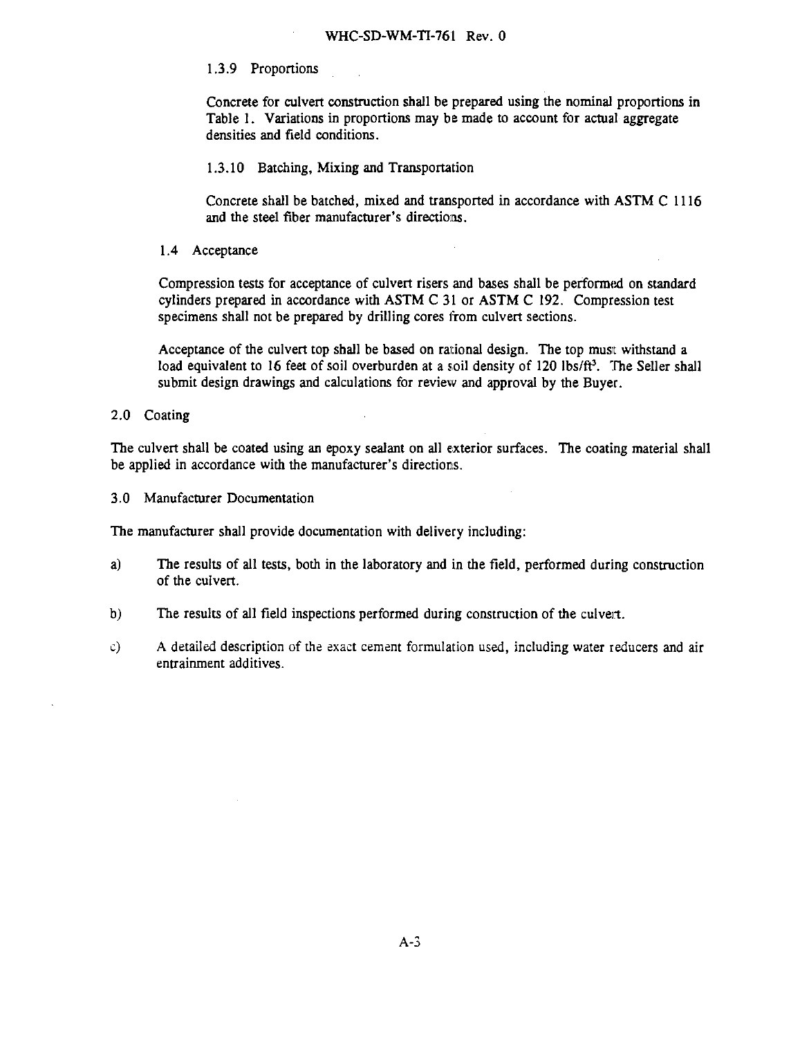#### 1.3.9 Proportions

Concrete for culvert construction shall be prepared using the nominal proportions in Table 1. Variations in proportions may be made to account for actual aggregate densities and field conditions.

1.3.10 Batching, Mixing and Transportation

Concrete shall be batched, mixed and transported in accordance with ASTM C 1116 and the steel fiber manufacturer's directions.

1.4 Acceptance

Compression tests for acceptance of culvert risers and bases shall be performed on standard cylinders prepared in accordance with ASTM C 31 or ASTM C 192. Compression test specimens shall not be prepared by drilling cores from culvert sections.

Acceptance of the culvert top shall be based on rational design. The top must withstand a load equivalent to 16 feet of soil overburden at a soil density of 120 lbs/ft<sup>3</sup>. The Seller shall submit design drawings and calculations for review and approval by the Buyer.

2.0 Coating

The culvert shall be coated using an epoxy sealant on all exterior surfaces. The coating material shall be applied in accordance with the manufacturer's directions.

3.0 Manufacturer Documentation

The manufacturer shall provide documentation with delivery including:

- a) The results of all tests, both in the laboratory and in the field, performed during construction of the culvert.
- b) The results of all field inspections performed during construction of the culvert.
- c) A detailed description of the exact cement formulation used, including water reducers and air entrainment additives.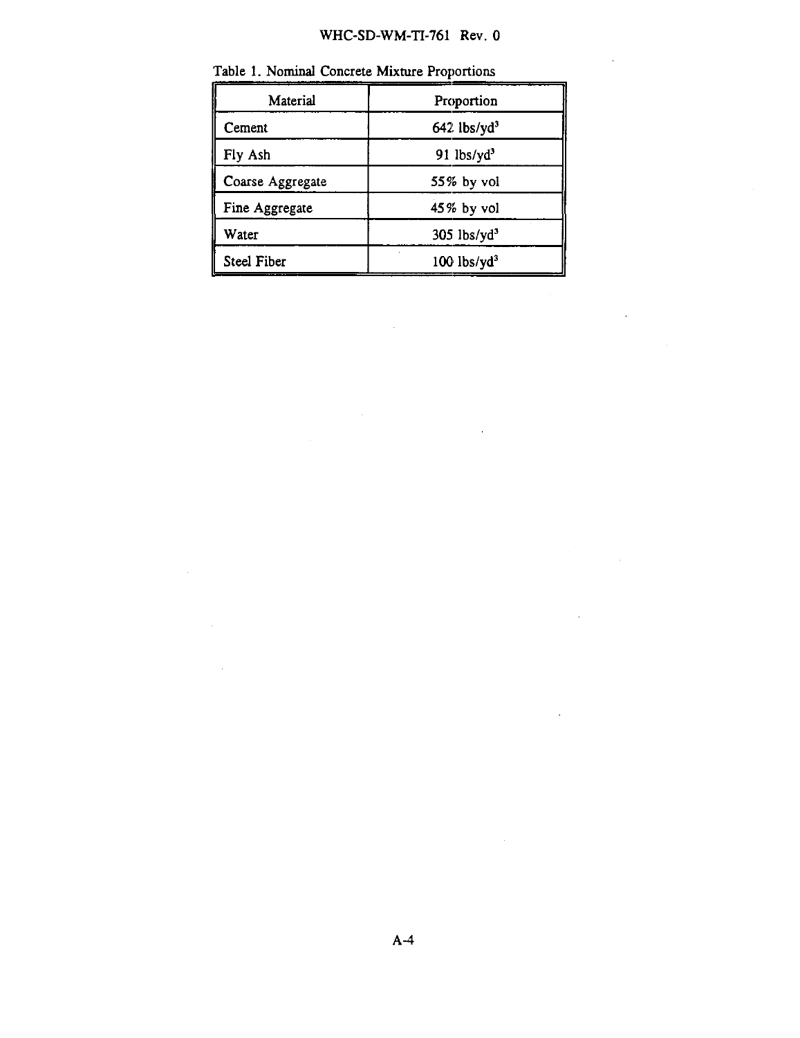| Material           | Proportion                |  |  |
|--------------------|---------------------------|--|--|
| Cement             | $642$ lbs/yd <sup>3</sup> |  |  |
| Fly Ash            | $91$ lbs/yd <sup>3</sup>  |  |  |
| Coarse Aggregate   | 55% by vol                |  |  |
| Fine Aggregate     | 45% by vol                |  |  |
| Water              | $305$ lbs/yd <sup>3</sup> |  |  |
| <b>Steel Fiber</b> | $100$ lbs/yd <sup>3</sup> |  |  |

 $\bar{z}$ 

Table 1. Nominal Concrete Mixture Proportions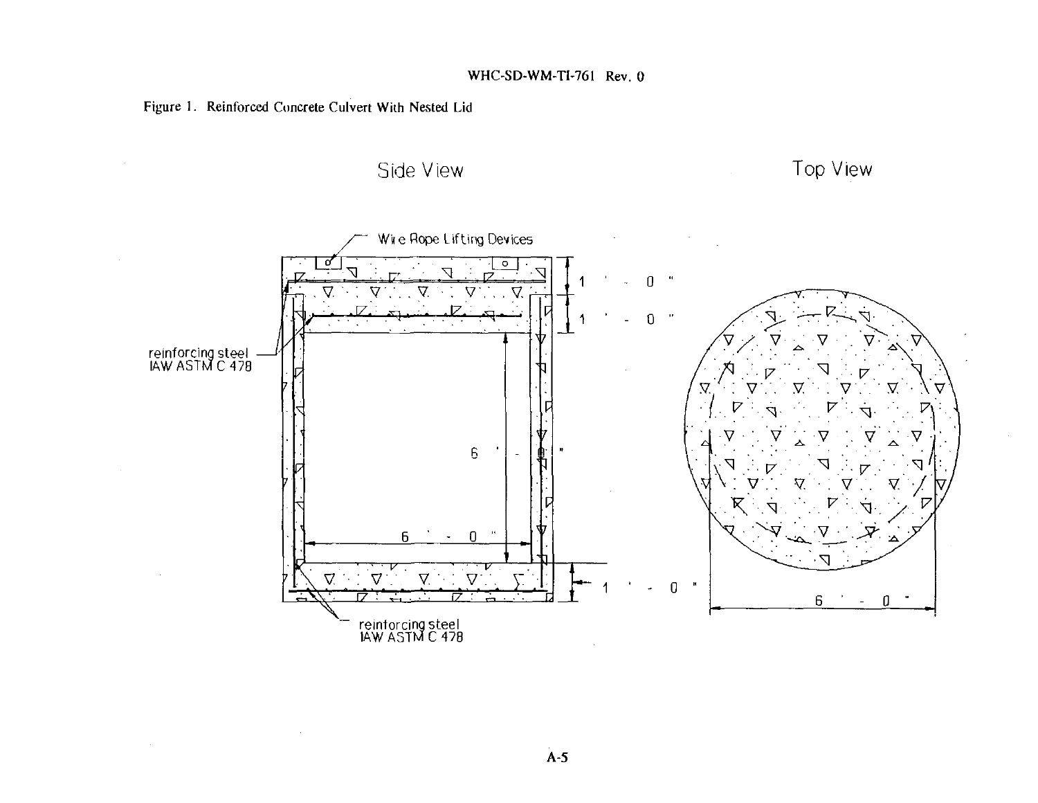

Side View Top View Top View

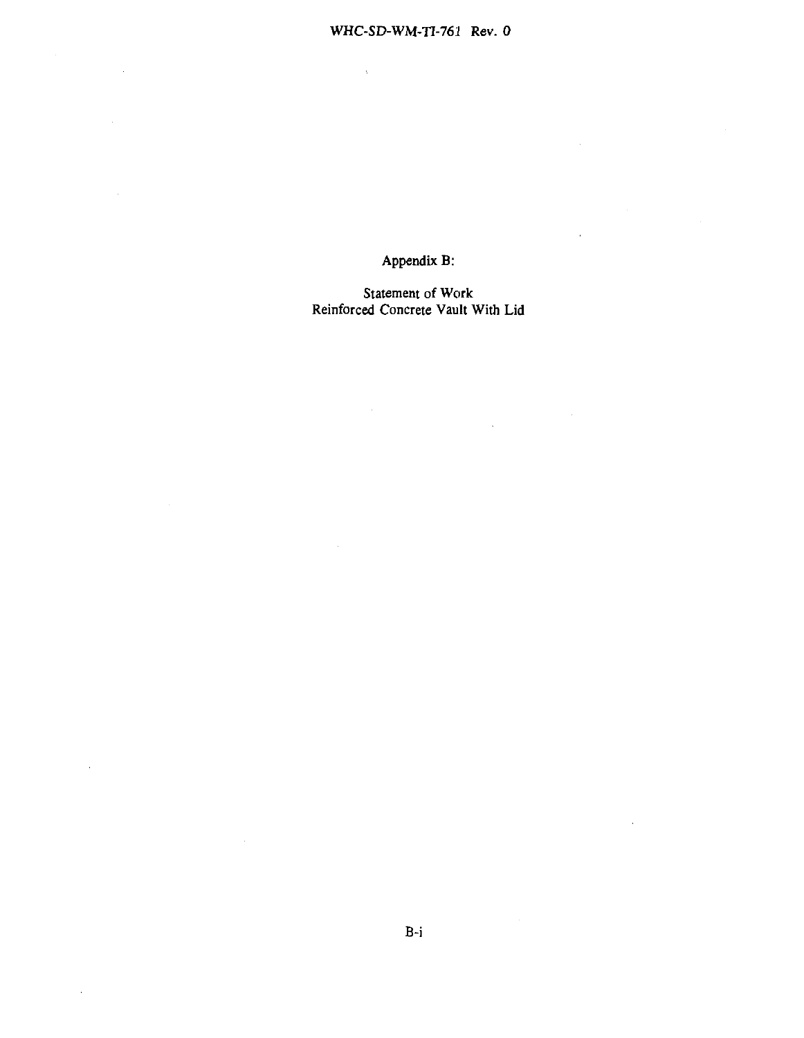$\Delta$ 

# Appendix B:

Statement of Work Reinforced Concrete Vault With Lid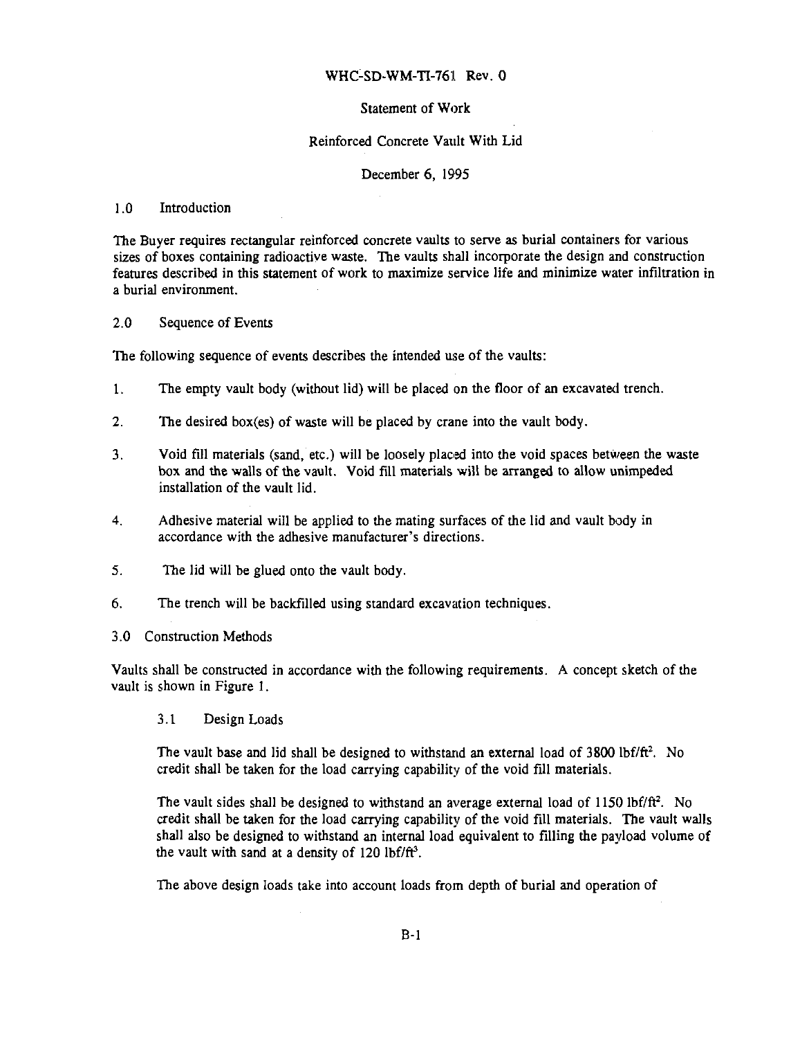# Statement of Work

# Reinforced Concrete Vault With Lid

## December 6, 1995

## 1.0 Introduction

The Buyer requires rectangular reinforced concrete vaults to serve as burial containers for various sizes of boxes containing radioactive waste. The vaults shall incorporate the design and construction features described in this statement of work to maximize service life and minimize water infiltration in a burial environment.

#### 2.0 Sequence of Events

The following sequence of events describes the intended use of the vaults:

- 1. The empty vault body (without lid) will be placed on the floor of an excavated trench.
- 2. The desired box(es) of waste will be placed by crane into the vault body.
- 3. Void fill materials (sand, etc.) will be loosely placed into the void spaces between the waste box and the walls of the vault. Void fill materials will be arranged to allow unimpeded installation of the vault lid.
- 4. Adhesive material will be applied to the mating surfaces of the lid and vault body in accordance with the adhesive manufacturer's directions.
- 5. The lid will be glued onto the vault body.
- 6. The trench will be backfilled using standard excavation techniques.
- 3.0 Construction Methods

Vaults shall be constructed in accordance with the following requirements. A concept sketch of the vault is shown in Figure 1.

3.1 Design Loads

The vault base and lid shall be designed to withstand an external load of 3800 lbf/ $ft^2$ . No credit shall be taken for the load carrying capability of the void fill materials.

The vault sides shall be designed to withstand an average external load of 1150 lbf/ft<sup>2</sup>. No credit shall be taken for the load carrying capability of the void fill materials. The vault walls shall also be designed to withstand an internal load equivalent to filling the payload volume of the vault with sand at a density of 120 lbf/ft<sup>3</sup>.

The above design loads take into account loads from depth of burial and operation of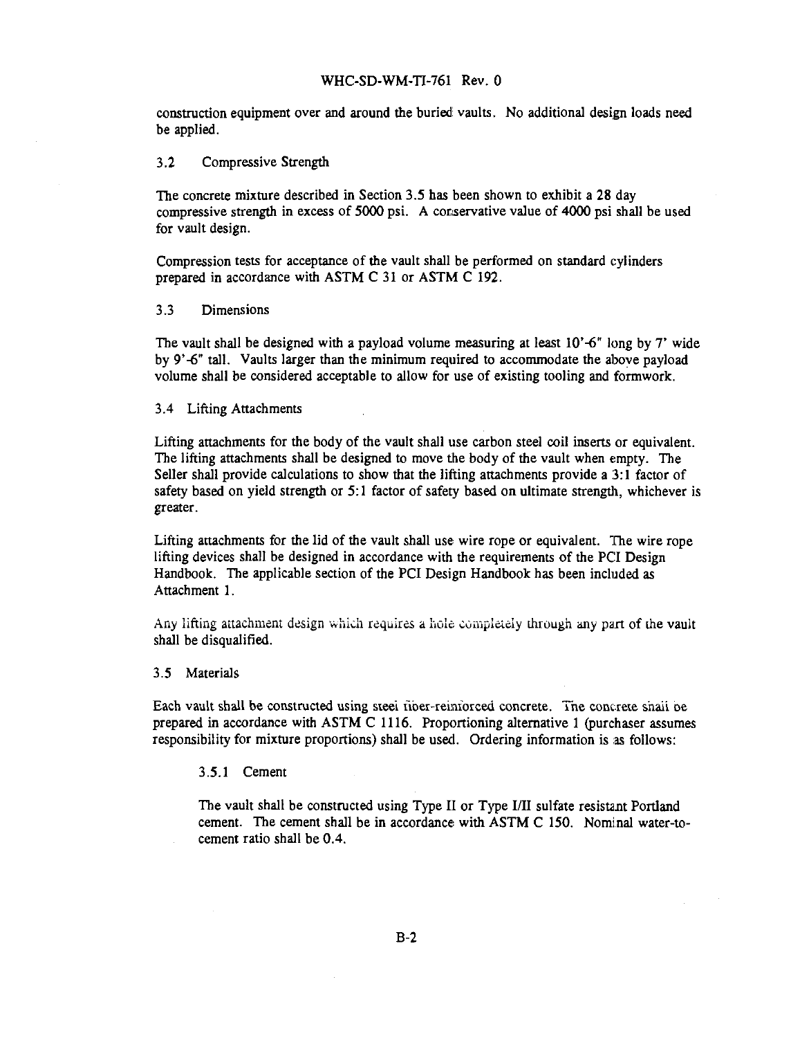construction equipment over and around the buried: vaults. No additional design loads need be applied.

#### 3.2 Compressive Strength

The concrete mixture described in Section 3.5 has been shown to exhibit a 28 day compressive strength in excess of 5000 psi. A conservative value of 4000 psi shall be used for vault design.

Compression tests for acceptance of the vault shall be performed on standard cylinders prepared in accordance with ASTM C 31 or ASTM C 192.

#### 3.3 Dimensions

The vault shall be designed with a payload volume measuring at least 10'-6" long by 7' wide by 9'-6" tall. Vaults larger than the minimum required to accommodate the above payload volume shall be considered acceptable to allow for use of existing tooling and formwork.

#### 3.4 Lifting Attachments

Lifting attachments for the body of the vault shall use carbon steel coil inserts or equivalent. The lifting attachments shall be designed to move the body of the vault when empty. The Seller shall provide calculations to show that the lifting attachments provide a 3:1 factor of safety based on yield strength or 5:1 factor of safety based on ultimate strength, whichever is greater.

Lifting attachments for the lid of the vault shall use wire rope or equivalent. The wire rope lifting devices shall be designed in accordance with the requirements of the PCI Design Handbook. The applicable section of the PCI Design Handbook has been included as Attachment 1.

Any lifting attachment design which requires a hole completely through any part of the vault shall be disqualified.

# 3.5 Materials

Each vault shall be constructed using steel fiber-reinforced concrete. The concrete shall be prepared in accordance with ASTM C 1116. Proportioning alternative 1 (purchaser assumes responsibility for mixture proportions) shall be used. Ordering information is as follows:

#### 3.5.1 Cement

The vault shall be constructed using Type II or Type I/II sulfate resistant Portland cement. The cement shall be in accordance with ASTM C 150. Nominal water-tocement ratio shall be 0.4.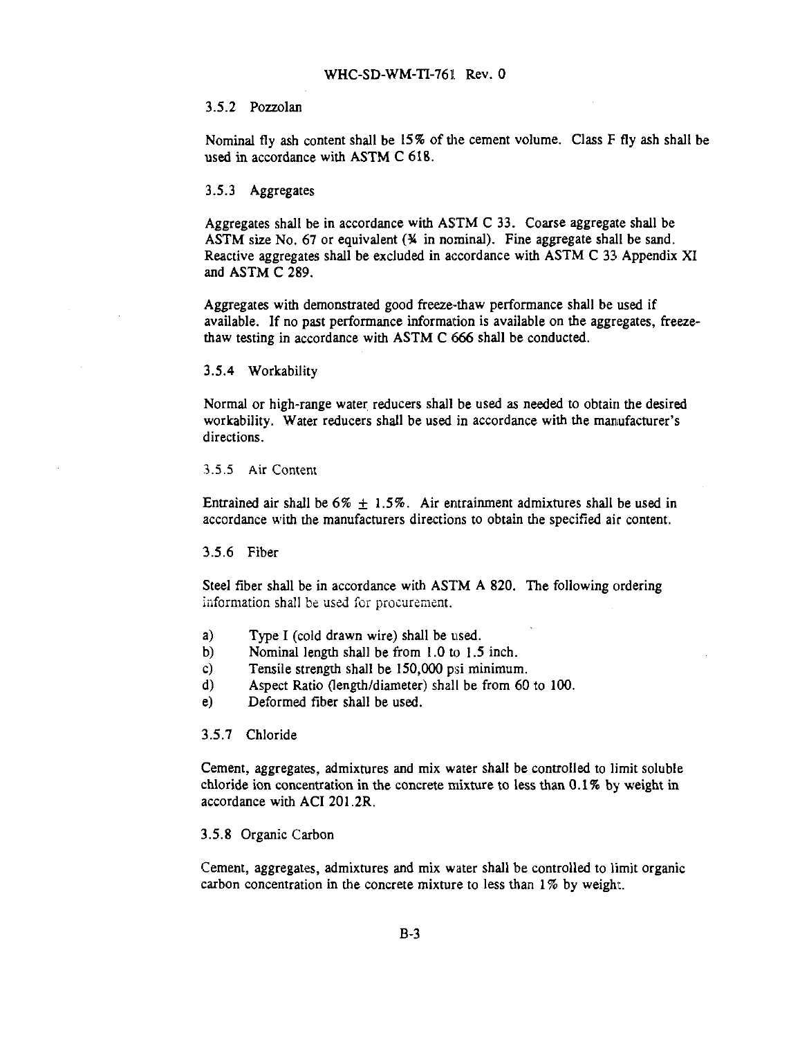#### 3.5.2 Pozzolan

Nominal fly ash content shall be 15% of the cement volume. Class F fly ash shall be used in accordance with ASTM C 618.

# 3.5.3 Aggregates

Aggregates shall be in accordance with ASTM C 33. Coarse aggregate shall be ASTM size No. 67 or equivalent (% in nominal). Fine aggregate shall be sand. Reactive aggregates shall be excluded in accordance with ASTM C 33 Appendix XI and ASTM C 289.

Aggregates with demonstrated good freeze-thaw performance shall be used if available. If no past performance information is available on the aggregates, freezethaw testing in accordance with ASTM C 666 shall be conducted.

3.5.4 Workability

Normal or high-range water reducers shall be used as needed to obtain the desired workability. Water reducers shall be used in accordance with the manufacturer's directions.

3.5.5 Air Content

Entrained air shall be 6% *±* 1.5%. Air entrainment admixtures shall be used in accordance with the manufacturers directions to obtain the specified air content.

3.5.6 Fiber

Steel fiber shall be in accordance with ASTM A 820. The following ordering information shall be used for procurement.

- a) Type I (cold drawn wire) shall be used.
- b) Nominal length shall be from 1.0 to 1.5 inch.
- c) Tensile strength shall be 150,000 psi minimum.<br>d) Aspect Ratio (length/diameter) shall be from 60
- Aspect Ratio (length/diameter) shall be from 60 to 100.
- e) Deformed fiber shall be used.

3.5.7 Chloride

Cement, aggregates, admixtures and mix water shall be controlled to limit soluble chloride ion concentration in the concrete mixture to less than 0.1% by weight in accordance with ACI 201.2R.

#### 3.5.8 Organic Carbon

Cement, aggregates, admixtures and mix water shall be controlled to limit organic carbon concentration in the concrete mixture to less than 1% by weight.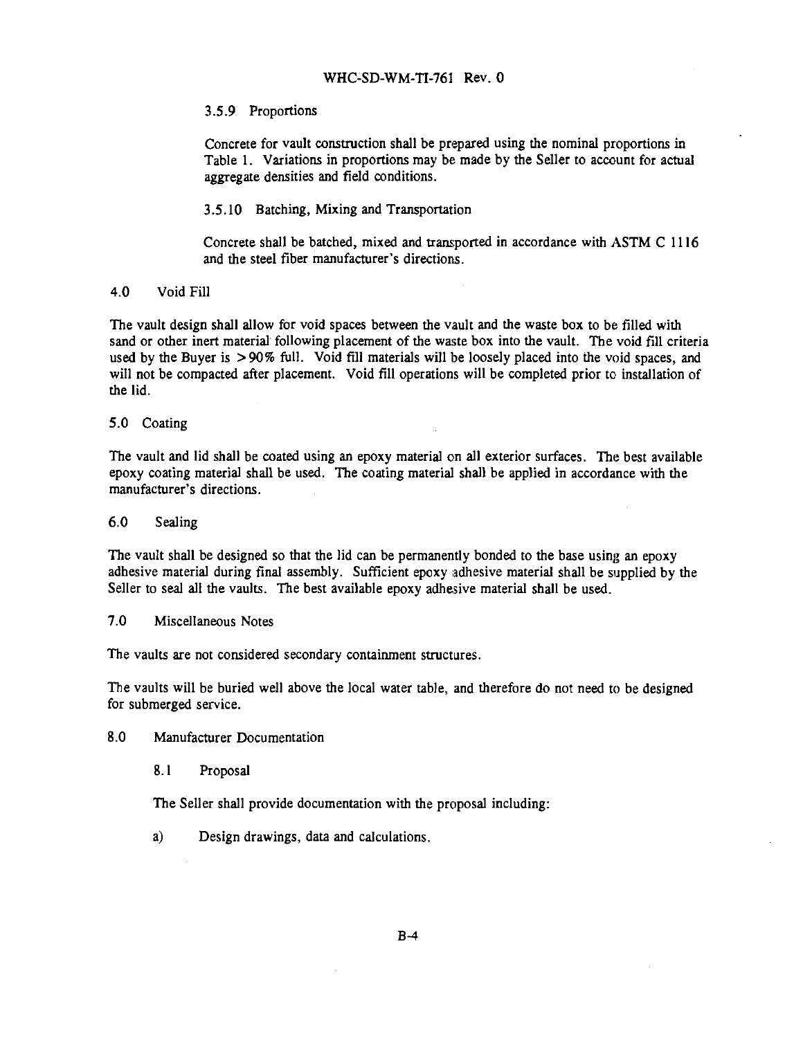# 3.5.9 Proportions

Concrete for vault construction shall be prepared using the nominal proportions in Table 1. Variations in proportions may be made by the Seller to account for actual aggregate densities and field conditions.

# 3.5.10 Batching, Mixing and Transportation

Concrete shall be batched, mixed and transported in accordance with ASTM C 1116 and the steel fiber manufacturer's directions.

# 4.0 Void Fill

The vault design shall allow for void spaces between the vault and the waste box to be filled with sand or other inert material following placement of the waste box into the vault. The void fill criteria used by the Buyer is >90% full. Void fill materials will be loosely placed into the void spaces, and will not be compacted after placement. Void fill operations will be completed prior to installation of the lid.

# 5.0 Coating

The vault and lid shall be coated using an epoxy material on all exterior surfaces. The best available epoxy coating material shall be used. The coating material shall be applied in accordance with the manufacturer's directions.

# 6.0 Sealing

The vault shall be designed so that the lid can be permanently bonded to the base using an epoxy adhesive material during final assembly. Sufficient epoxy adhesive material shall be supplied by the Seller to seal all the vaults. The best available epoxy adhesive material shall be used.

# 7.0 Miscellaneous Notes

The vaults are not considered secondary containment structures.

The vaults will be buried well above the local water table, and therefore do not need to be designed for submerged service.

# 8.0 Manufacturer Documentation

# 8.1 Proposal

The Seller shall provide documentation with the proposal including:

a) Design drawings, data and calculations.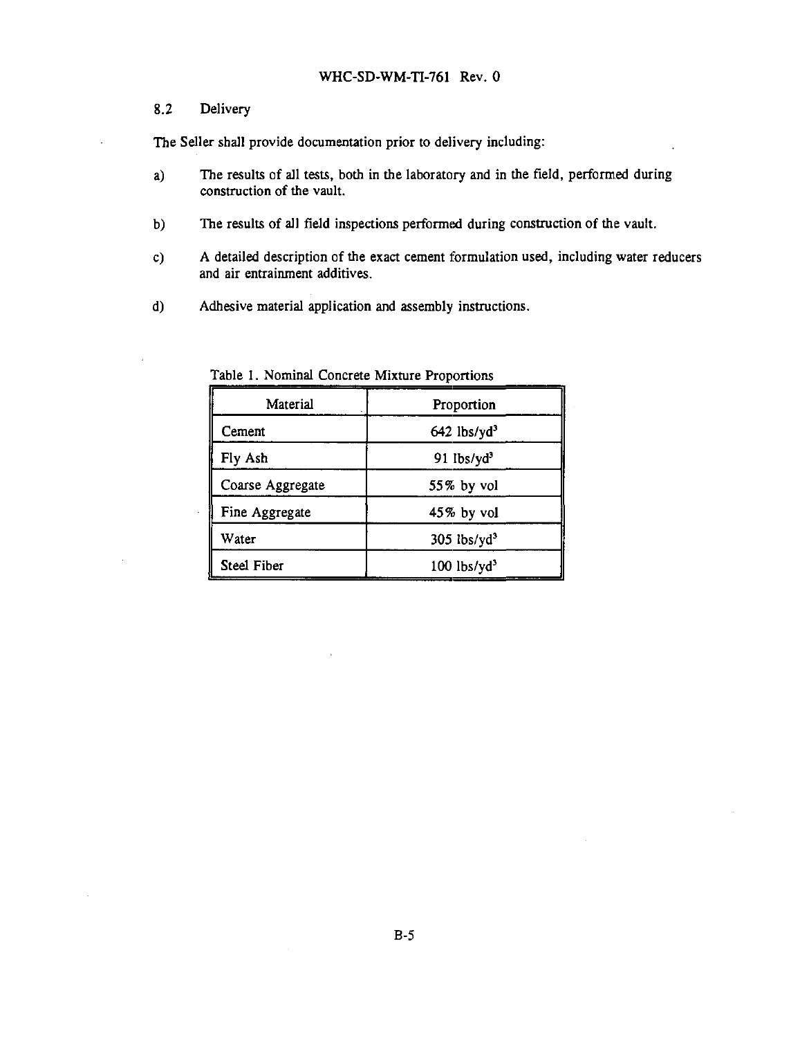# 8.2 Delivery

The Seller shall provide documentation prior to delivery including:

- a) The results of all tests, both in the laboratory and in the field, performed during construction of the vault.
- b) The results of all field inspections performed during construction of the vault.
- c) A detailed description of the exact cement formulation used, including water reducers and air entrainment additives.
- d) Adhesive material application and assembly instructions.

| Material           | Proportion                |  |  |
|--------------------|---------------------------|--|--|
| Cement             | $642$ lbs/yd <sup>3</sup> |  |  |
| Fly Ash            | $91$ lbs/yd <sup>3</sup>  |  |  |
| Coarse Aggregate   | 55% by vol                |  |  |
| Fine Aggregate     | 45% by vol                |  |  |
| Water              | $305$ lbs/ $vd^3$         |  |  |
| <b>Steel Fiber</b> | $100$ lbs/yd <sup>3</sup> |  |  |

Table 1. Nominal Concrete Mixture Proportions